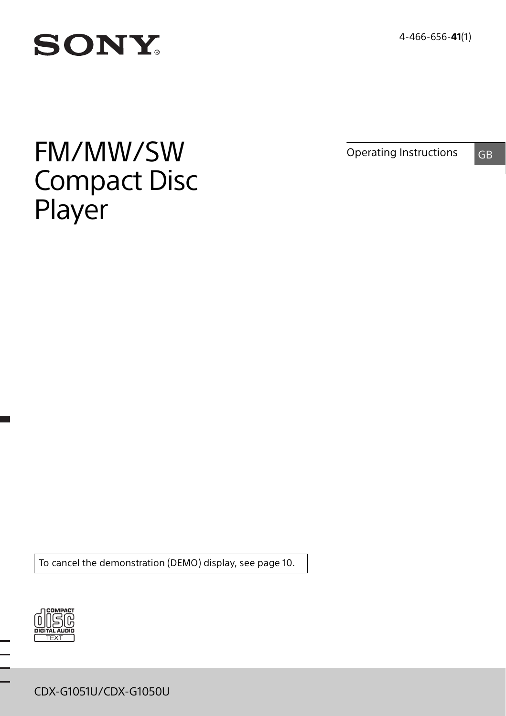4-466-656-**41**(1)

# **SONY**

# FM/MW/SW Compact Disc Player

Operating Instructions GB

To cancel the demonstration (DEMO) display, see [page 10.](#page-9-0)



CDX-G1051U/CDX-G1050U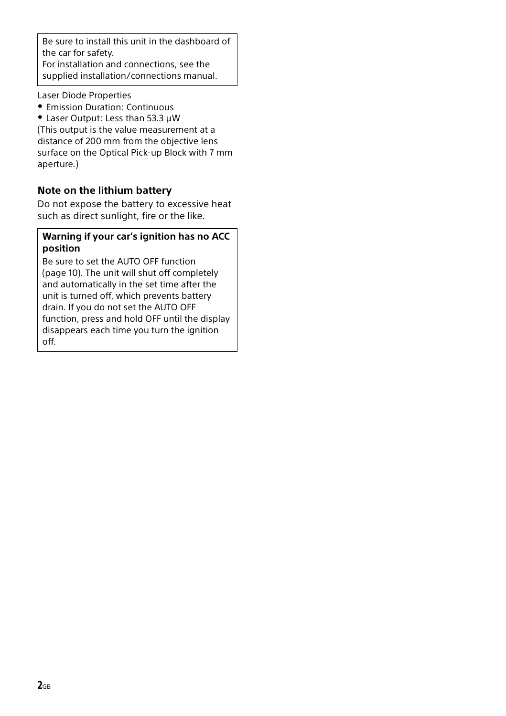Be sure to install this unit in the dashboard of the car for safety.

For installation and connections, see the supplied installation/connections manual.

Laser Diode Properties

- Emission Duration: Continuous
- Laser Output: Less than 53.3 μW

(This output is the value measurement at a distance of 200 mm from the objective lens surface on the Optical Pick-up Block with 7 mm aperture.)

#### **Note on the lithium battery**

Do not expose the battery to excessive heat such as direct sunlight, fire or the like.

#### **Warning if your car's ignition has no ACC position**

Be sure to set the AUTO OFF function [\(page 10\)](#page-9-1). The unit will shut off completely and automatically in the set time after the unit is turned off, which prevents battery drain. If you do not set the AUTO OFF function, press and hold OFF until the display disappears each time you turn the ignition off.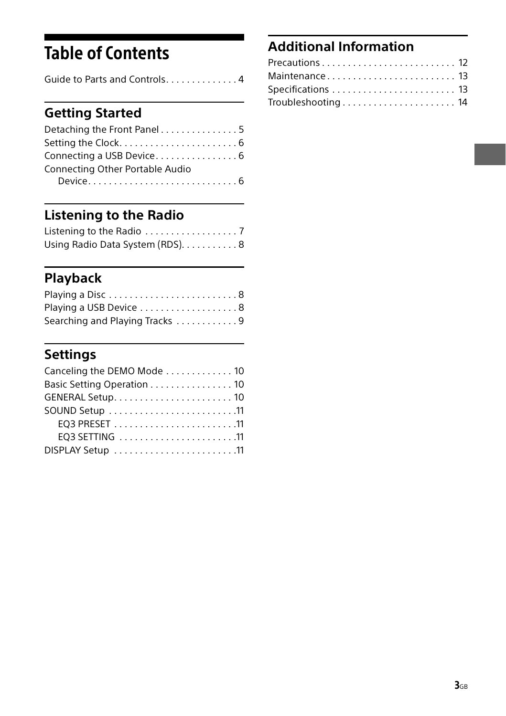## Table of Contents

| Guide to Parts and Controls4 |  |
|------------------------------|--|
|------------------------------|--|

## **[Getting Started](#page-4-0)**

## **[Listening to the Radio](#page-6-0)**

| Using Radio Data System (RDS). 8 |  |
|----------------------------------|--|

## **[Playback](#page-7-1)**

| Playing a Disc8                |
|--------------------------------|
| Playing a USB Device 8         |
| Searching and Playing Tracks 9 |

## **[Settings](#page-9-2)**

| Canceling the DEMO Mode 10 |  |
|----------------------------|--|
| Basic Setting Operation 10 |  |
|                            |  |
|                            |  |
|                            |  |
|                            |  |
| DISPLAY Setup 11           |  |

## **[Additional Information](#page-11-0)**

| Maintenance 13     |  |
|--------------------|--|
|                    |  |
| Troubleshooting 14 |  |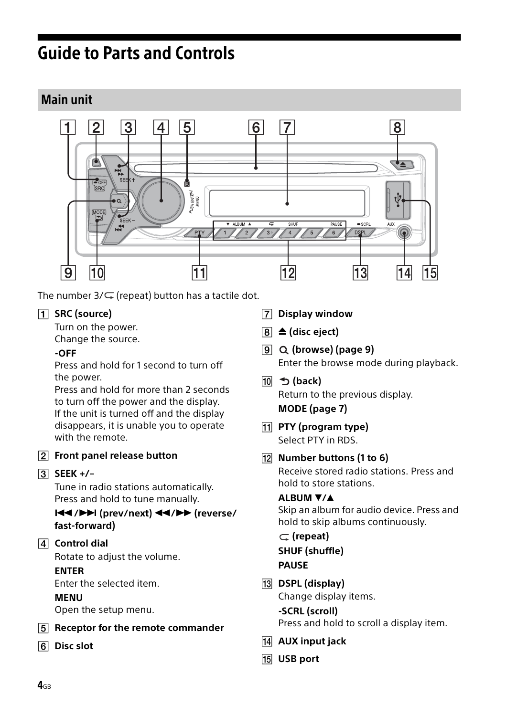## <span id="page-3-0"></span>Guide to Parts and Controls

### Main unit



The number  $3/\sqrt{ }$  (repeat) button has a tactile dot.

#### **SRC (source)**

Turn on the power.

Change the source.

#### **-OFF**

Press and hold for 1 second to turn off the power.

Press and hold for more than 2 seconds to turn off the power and the display. If the unit is turned off and the display disappears, it is unable you to operate with the remote.

**Front panel release button**

#### **SEEK +/–**

Tune in radio stations automatically. Press and hold to tune manually.

#### **/ (prev/next) / (reverse/ fast-forward)**

**Control dial**

Rotate to adjust the volume.

#### **ENTER**

Enter the selected item.

#### **MENU**

Open the setup menu.

- **Receptor for the remote commander**
- **Disc slot**
- **Display window**
- $\boxed{8} \triangleq$  (disc eject)
- **(browse) [\(page 9\)](#page-8-1)** Enter the browse mode during playback.
- **(back)** Return to the previous display. **MODE ([page 7\)](#page-6-2)**
- **PTY (program type)** Select PTY in RDS.
- **Number buttons (1 to 6)** Receive stored radio stations. Press and hold to store stations.

#### **ALBUM /**

Skip an album for audio device. Press and hold to skip albums continuously.

 **(repeat) SHUF (shuffle) PAUSE**

- **DSPL (display)** Change display items. **-SCRL (scroll)**
	- Press and hold to scroll a display item.
- **AUX input jack**
- **USB port**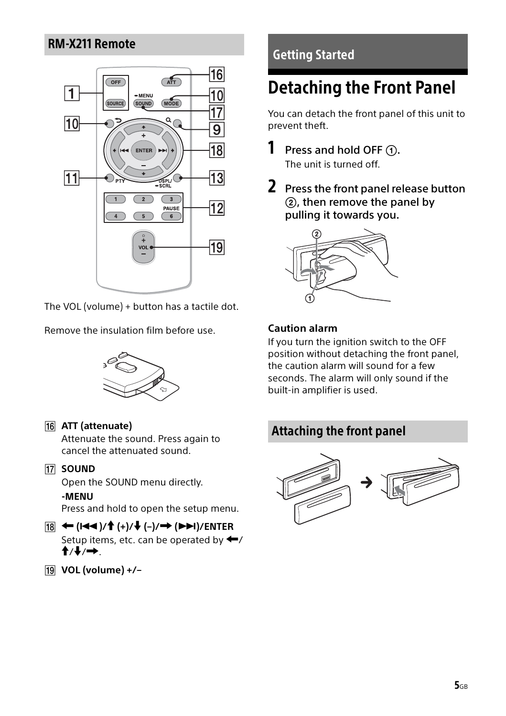### RM-X211 Remote



The VOL (volume) + button has a tactile dot.

Remove the insulation film before use.



#### **ATT (attenuate)**

Attenuate the sound. Press again to cancel the attenuated sound.

**17 SOUND** 

Open the SOUND menu directly.

#### **-MENU**

Press and hold to open the setup menu.

#### **()/ (+)/ (–)/ ()/ENTER** Setup items, etc. can be operated by  $\leftarrow$ /  $\mathbf{\hat{f}}/\mathbf{\downarrow}/\mathbf{\rightarrow}$ .

**VOL (volume) +/–**

## <span id="page-4-0"></span>Getting Started

## <span id="page-4-1"></span>Detaching the Front Panel

You can detach the front panel of this unit to prevent theft.

- **1** Press and hold OFF  $(1)$ . The unit is turned off.
- 2 Press the front panel release button , then remove the panel by pulling it towards you.



#### <span id="page-4-2"></span>**Caution alarm**

If you turn the ignition switch to the OFF position without detaching the front panel, the caution alarm will sound for a few seconds. The alarm will only sound if the built-in amplifier is used.

## Attaching the front panel

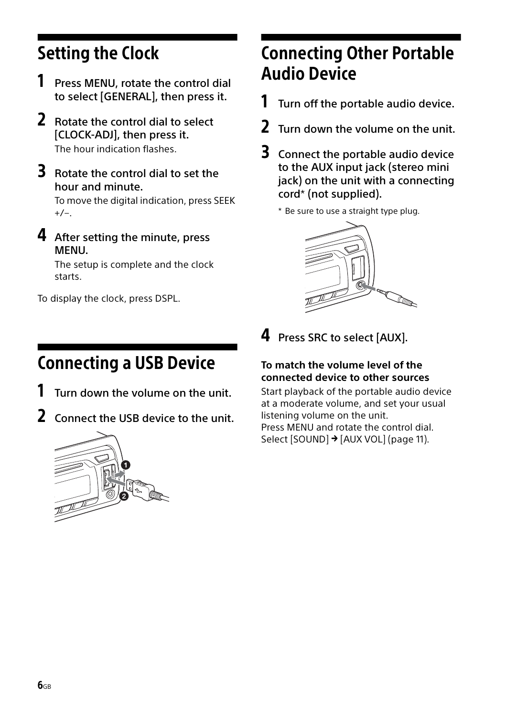## <span id="page-5-0"></span>Setting the Clock

- 1 Press MENU, rotate the control dial to select [GENERAL], then press it.
- 2 Rotate the control dial to select [CLOCK-ADJ], then press it. The hour indication flashes.
- **3** Rotate the control dial to set the hour and minute.

To move the digital indication, press SEEK  $+/-$ .

4 After setting the minute, press MENU.

The setup is complete and the clock starts.

To display the clock, press DSPL.

## <span id="page-5-1"></span>Connecting a USB Device

- Turn down the volume on the unit.
- 2 Connect the USB device to the unit.



## <span id="page-5-2"></span>Connecting Other Portable Audio Device

- $1$  Turn off the portable audio device.
- 2 Turn down the volume on the unit.
- **3** Connect the portable audio device to the AUX input jack (stereo mini jack) on the unit with a connecting cord\* (not supplied).

\* Be sure to use a straight type plug.



4 Press SRC to select [AUX].

### **To match the volume level of the connected device to other sources**

Start playback of the portable audio device at a moderate volume, and set your usual listening volume on the unit. Press MENU and rotate the control dial. Select [SOUND] → [AUX VOL] ([page 11\)](#page-10-4).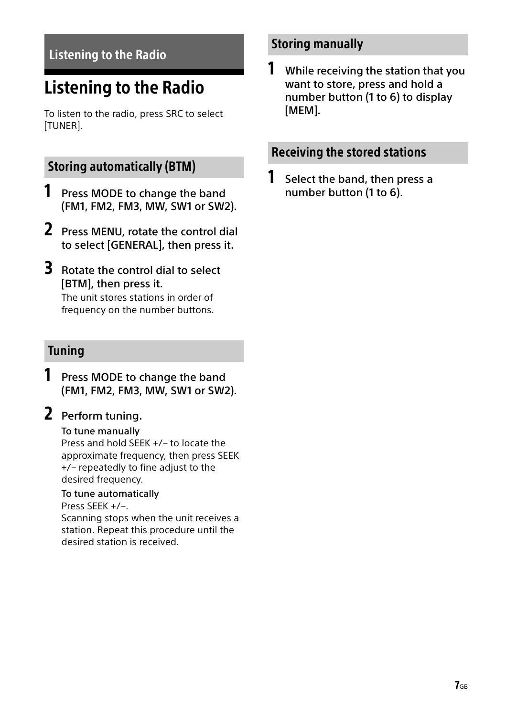## <span id="page-6-0"></span>Listening to the Radio

## <span id="page-6-1"></span>Listening to the Radio

To listen to the radio, press SRC to select [TUNER].

### <span id="page-6-2"></span>Storing automatically (BTM)

- **1** Press MODE to change the band (FM1, FM2, FM3, MW, SW1 or SW2).
- 2 Press MENU, rotate the control dial to select [GENERAL], then press it.
- 3 Rotate the control dial to select [BTM], then press it.

The unit stores stations in order of frequency on the number buttons.

### Tuning

**1** Press MODE to change the band (FM1, FM2, FM3, MW, SW1 or SW2).

## 2 Perform tuning.

#### To tune manually

Press and hold SEEK +/– to locate the approximate frequency, then press SEEK +/– repeatedly to fine adjust to the desired frequency.

#### To tune automatically

Press SEEK +/–.

Scanning stops when the unit receives a station. Repeat this procedure until the desired station is received.

### Storing manually

**1** While receiving the station that you want to store, press and hold a number button (1 to 6) to display [MEM].

### Receiving the stored stations

**1** Select the band, then press a number button (1 to 6).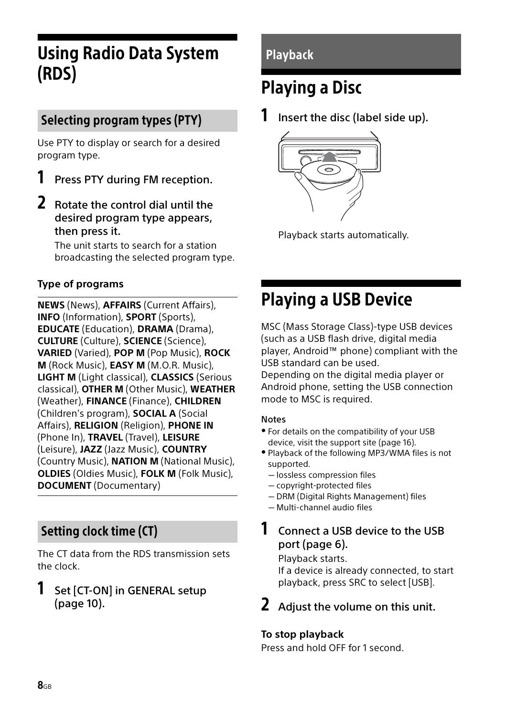## <span id="page-7-0"></span>Using Radio Data System (RDS)

## Selecting program types (PTY)

Use PTY to display or search for a desired program type.

- Press PTY during FM reception.
- 2 Rotate the control dial until the desired program type appears, then press it.

The unit starts to search for a station broadcasting the selected program type.

### **Type of programs**

**NEWS** (News), **AFFAIRS** (Current Affairs), **INFO** (Information), **SPORT** (Sports), **EDUCATE** (Education), **DRAMA** (Drama), **CULTURE** (Culture), **SCIENCE** (Science), **VARIED** (Varied), **POP M** (Pop Music), **ROCK M** (Rock Music), **EASY M** (M.O.R. Music), **LIGHT M** (Light classical), **CLASSICS** (Serious classical), **OTHER M** (Other Music), **WEATHER** (Weather), **FINANCE** (Finance), **CHILDREN** (Children's program), **SOCIAL A** (Social Affairs), **RELIGION** (Religion), **PHONE IN** (Phone In), **TRAVEL** (Travel), **LEISURE** (Leisure), **JAZZ** (Jazz Music), **COUNTRY** (Country Music), **NATION M** (National Music), **OLDIES** (Oldies Music), **FOLK M** (Folk Music), **DOCUMENT** (Documentary)

## Setting clock time (CT)

The CT data from the RDS transmission sets the clock.

### **1** Set [CT-ON] in GENERAL setup [\(page 10\)](#page-9-6).

## <span id="page-7-1"></span>Playback

## <span id="page-7-2"></span>Playing a Disc

**1** Insert the disc (label side up).



Playback starts automatically.

## <span id="page-7-3"></span>Playing a USB Device

MSC (Mass Storage Class)-type USB devices (such as a USB flash drive, digital media player, Android™ phone) compliant with the USB standard can be used.

Depending on the digital media player or Android phone, setting the USB connection mode to MSC is required.

#### Notes

- For details on the compatibility of your USB device, visit the support site ([page 16\)](#page-15-0).
- Playback of the following MP3/WMA files is not supported.
	- $-$  lossless compression files
	- copyright-protected files
	- $-$  DRM (Digital Rights Management) files
	- Multi-channel audio files

### **1** Connect a USB device to the USB port [\(page 6](#page-5-1)).

Playback starts.

If a device is already connected, to start playback, press SRC to select [USB].

Adjust the volume on this unit.

#### **To stop playback**

Press and hold OFF for 1 second.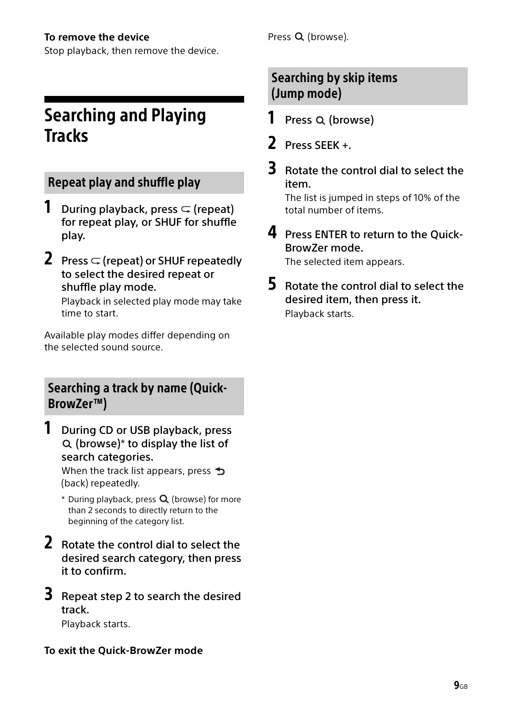#### **To remove the device**

Stop playback, then remove the device.

## <span id="page-8-0"></span>Searching and Playing **Tracks**

## Repeat play and shuffle play

- **1** During playback, press  $\subseteq$  (repeat) for repeat play, or SHUF for shuffle play.
- **2** Press  $\subseteq$  (repeat) or SHUF repeatedly to select the desired repeat or shuffle play mode.

Playback in selected play mode may take time to start.

Available play modes differ depending on the selected sound source.

## <span id="page-8-1"></span>Searching a track by name (Quick-BrowZer™)

**1** During CD or USB playback, press  $Q$  (browse)\* to display the list of search categories.

When the track list appears, press  $\triangle$ (back) repeatedly.

- $*$  During playback, press  $Q$  (browse) for more than 2 seconds to directly return to the beginning of the category list.
- 2 Rotate the control dial to select the desired search category, then press it to confirm.
- **3** Repeat step 2 to search the desired track. Playback starts.

### **To exit the Quick-BrowZer mode**

Press Q (browse).

## Searching by skip items (Jump mode)

- **1** Press  $Q$  (browse)
- 2 Press SEEK +.
- **3** Rotate the control dial to select the item.

The list is jumped in steps of 10% of the total number of items.

4 Press ENTER to return to the Quick-BrowZer mode.

The selected item appears.

5 Rotate the control dial to select the desired item, then press it. Playback starts.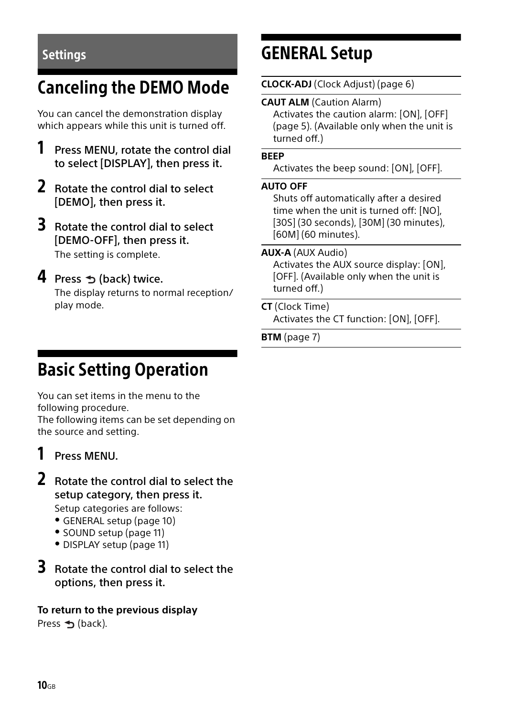## <span id="page-9-3"></span><span id="page-9-0"></span>Canceling the DEMO Mode

You can cancel the demonstration display which appears while this unit is turned off.

- 1 Press MENU, rotate the control dial to select [DISPLAY], then press it.
- 2 Rotate the control dial to select [DEMO], then press it.
- 3 Rotate the control dial to select [DEMO-OFF], then press it. The setting is complete.

### $4$  Press  $\triangle$  (back) twice.

The display returns to normal reception/ play mode.

## <span id="page-9-2"></span>Settings GENERAL Setup

<span id="page-9-5"></span>**CLOCK-ADJ** (Clock Adjust) ([page 6](#page-5-0))

**CAUT ALM** (Caution Alarm) Activates the caution alarm: [ON], [OFF] [\(page 5](#page-4-2)). (Available only when the unit is

#### **BEEP**

Activates the beep sound: [ON], [OFF].

#### <span id="page-9-1"></span>**AUTO OFF**

turned off.)

Shuts off automatically after a desired time when the unit is turned off: [NO], [30S] (30 seconds), [30M] (30 minutes), [60M] (60 minutes).

#### **AUX-A** (AUX Audio)

Activates the AUX source display: [ON], [OFF]. (Available only when the unit is turned off.)

#### <span id="page-9-6"></span>**CT** (Clock Time)

Activates the CT function: [ON], [OFF].

**BTM** [\(page 7](#page-6-2))

## <span id="page-9-4"></span>Basic Setting Operation

You can set items in the menu to the following procedure. The following items can be set depending on the source and setting.

## 1 Press MENU.

2 Rotate the control dial to select the setup category, then press it.

Setup categories are follows:

- GENERAL setup [\(page 10](#page-9-5))
- SOUND setup ([page 11\)](#page-10-0)
- DISPLAY setup [\(page 11\)](#page-10-3)
- **3** Rotate the control dial to select the options, then press it.

#### **To return to the previous display** Press  $\triangle$  (back).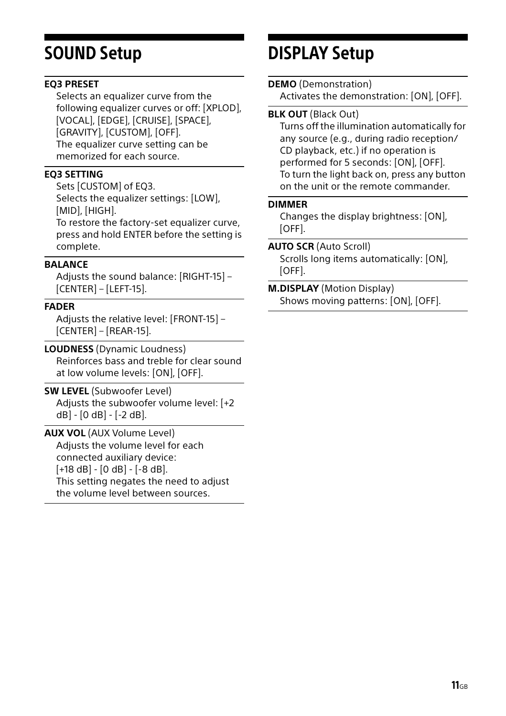#### <span id="page-10-1"></span>**EQ3 PRESET**

Selects an equalizer curve from the following equalizer curves or off: [XPLOD], [VOCAL], [EDGE], [CRUISE], [SPACE], [GRAVITY], [CUSTOM], [OFF]. The equalizer curve setting can be memorized for each source.

#### <span id="page-10-2"></span>**EQ3 SETTING**

Sets [CUSTOM] of EQ3. Selects the equalizer settings: [LOW], [MID], [HIGH]. To restore the factory-set equalizer curve, press and hold ENTER before the setting is complete.

#### **BALANCE**

Adjusts the sound balance: [RIGHT-15] – [CENTER] – [LEFT-15].

#### **FADER**

Adjusts the relative level: [FRONT-15] – [CENTER] – [REAR-15].

**LOUDNESS** (Dynamic Loudness) Reinforces bass and treble for clear sound at low volume levels: [ON], [OFF].

**SW LEVEL** (Subwoofer Level) Adjusts the subwoofer volume level: [+2 dB] - [0 dB] - [-2 dB].

<span id="page-10-4"></span>**AUX VOL** (AUX Volume Level) Adjusts the volume level for each connected auxiliary device: [+18 dB] - [0 dB] - [-8 dB]. This setting negates the need to adjust the volume level between sources.

## <span id="page-10-0"></span>SOUND Setup DISPLAY Setup

#### <span id="page-10-7"></span><span id="page-10-3"></span>**DEMO** (Demonstration)

Activates the demonstration: [ON], [OFF].

#### <span id="page-10-6"></span>**BLK OUT** (Black Out)

Turns off the illumination automatically for any source (e.g., during radio reception/ CD playback, etc.) if no operation is performed for 5 seconds: [ON], [OFF]. To turn the light back on, press any button on the unit or the remote commander.

#### <span id="page-10-5"></span>**DIMMER**

Changes the display brightness: [ON], [OFF].

#### **AUTO SCR** (Auto Scroll)

Scrolls long items automatically: [ON], [OFF].

#### **M.DISPLAY** (Motion Display) Shows moving patterns: [ON], [OFF].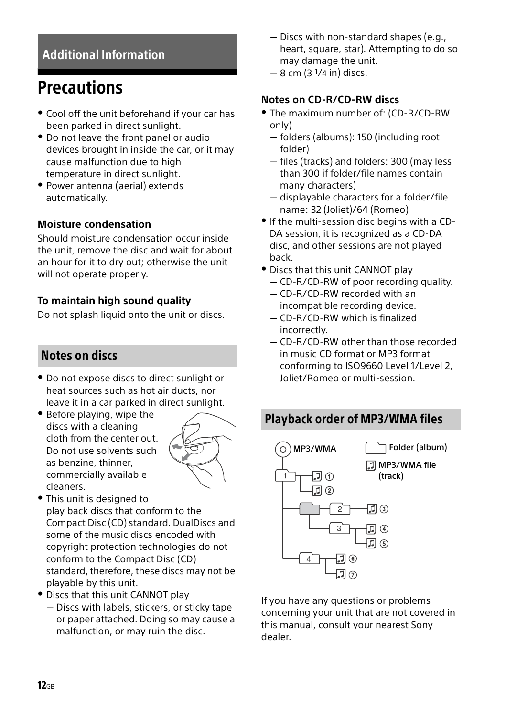## <span id="page-11-0"></span>Additional Information

## <span id="page-11-1"></span>**Precautions**

- Cool off the unit beforehand if your car has been parked in direct sunlight.
- Do not leave the front panel or audio devices brought in inside the car, or it may cause malfunction due to high temperature in direct sunlight.
- Power antenna (aerial) extends automatically.

#### **Moisture condensation**

Should moisture condensation occur inside the unit, remove the disc and wait for about an hour for it to dry out; otherwise the unit will not operate properly.

#### **To maintain high sound quality**

Do not splash liquid onto the unit or discs.

## Notes on discs

- Do not expose discs to direct sunlight or heat sources such as hot air ducts, nor leave it in a car parked in direct sunlight.
- Before playing, wipe the discs with a cleaning cloth from the center out. Do not use solvents such as benzine, thinner, commercially available cleaners.



- This unit is designed to play back discs that conform to the Compact Disc (CD) standard. DualDiscs and some of the music discs encoded with copyright protection technologies do not conform to the Compact Disc (CD) standard, therefore, these discs may not be playable by this unit.
- Discs that this unit CANNOT play
	- $-$  Discs with labels, stickers, or sticky tape or paper attached. Doing so may cause a malfunction, or may ruin the disc.
- Discs with non-standard shapes (e.g., heart, square, star). Attempting to do so may damage the unit.
- $-8$  cm (3  $1/4$  in) discs.

### <span id="page-11-2"></span>**Notes on CD-R/CD-RW discs**

- The maximum number of: (CD-R/CD-RW only)
	- $-$  folders (albums): 150 (including root folder)
	- $-$  files (tracks) and folders: 300 (may less than 300 if folder/file names contain many characters)
	- $-$  displayable characters for a folder/file name: 32 (Joliet)/64 (Romeo)
- If the multi-session disc begins with a CD-DA session, it is recognized as a CD-DA disc, and other sessions are not played back.
- Discs that this unit CANNOT play CD-R/CD-RW of poor recording quality.
	- CD-R/CD-RW recorded with an incompatible recording device.
	- CD-R/CD-RW which is finalized incorrectly.
	- CD-R/CD-RW other than those recorded in music CD format or MP3 format conforming to ISO9660 Level 1/Level 2, Joliet/Romeo or multi-session.

## Playback order of MP3/WMA files



If you have any questions or problems concerning your unit that are not covered in this manual, consult your nearest Sony dealer.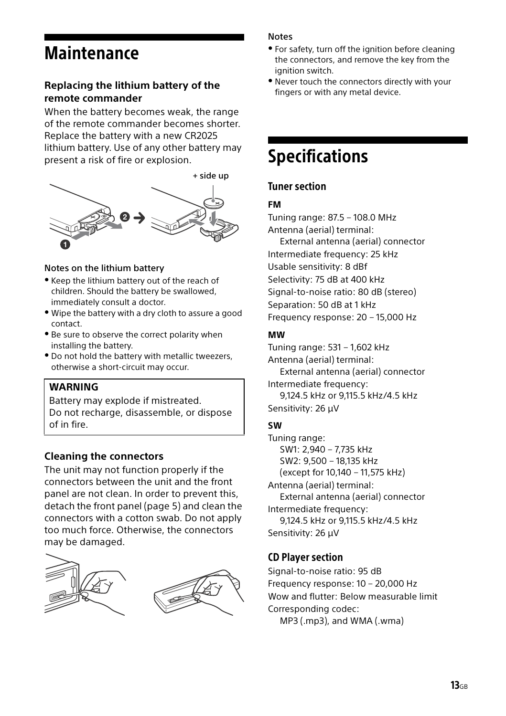## <span id="page-12-0"></span>**Maintenance**

#### **Replacing the lithium battery of the remote commander**

When the battery becomes weak, the range of the remote commander becomes shorter. Replace the battery with a new CR2025 lithium battery. Use of any other battery may present a risk of fire or explosion.

+ side up

#### Notes on the lithium battery

- Keep the lithium battery out of the reach of children. Should the battery be swallowed, immediately consult a doctor.
- Wipe the battery with a dry cloth to assure a good contact.
- Be sure to observe the correct polarity when installing the battery.
- Do not hold the battery with metallic tweezers, otherwise a short-circuit may occur.

#### **WARNING**

Battery may explode if mistreated. Do not recharge, disassemble, or dispose of in fire.

#### <span id="page-12-2"></span>**Cleaning the connectors**

The unit may not function properly if the connectors between the unit and the front panel are not clean. In order to prevent this, detach the front panel [\(page 5](#page-4-1)) and clean the connectors with a cotton swab. Do not apply too much force. Otherwise, the connectors may be damaged.





#### Notes

- For safety, turn off the ignition before cleaning the connectors, and remove the key from the ignition switch.
- Never touch the connectors directly with your fingers or with any metal device.

## <span id="page-12-1"></span>Specifications

#### Tuner section

#### **FM**

Tuning range: 87.5 – 108.0 MHz Antenna (aerial) terminal: External antenna (aerial) connector Intermediate frequency: 25 kHz Usable sensitivity: 8 dBf Selectivity: 75 dB at 400 kHz Signal-to-noise ratio: 80 dB (stereo) Separation: 50 dB at 1 kHz Frequency response: 20 – 15,000 Hz **MW**

Tuning range: 531 – 1,602 kHz Antenna (aerial) terminal: External antenna (aerial) connector Intermediate frequency: 9,124.5 kHz or 9,115.5 kHz/4.5 kHz Sensitivity: 26 μV

#### **SW**

Tuning range: SW1: 2,940 – 7,735 kHz SW2: 9,500 – 18,135 kHz (except for 10,140 – 11,575 kHz) Antenna (aerial) terminal: External antenna (aerial) connector Intermediate frequency: 9,124.5 kHz or 9,115.5 kHz/4.5 kHz Sensitivity: 26 μV

#### CD Player section

Signal-to-noise ratio: 95 dB Frequency response: 10 – 20,000 Hz Wow and flutter: Below measurable limit Corresponding codec:

MP3 (.mp3), and WMA (.wma)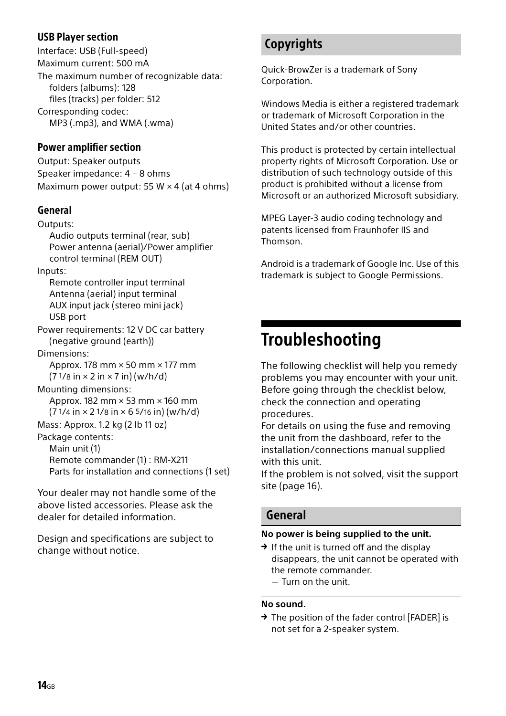#### USB Player section

Interface: USB (Full-speed) Maximum current: 500 mA The maximum number of recognizable data: folders (albums): 128 files (tracks) per folder: 512 Corresponding codec:

MP3 (.mp3), and WMA (.wma)

#### Power amplifier section

Output: Speaker outputs Speaker impedance: 4 – 8 ohms Maximum power output: 55 W  $\times$  4 (at 4 ohms)

#### General

Outputs:

Audio outputs terminal (rear, sub) Power antenna (aerial)/Power amplifier control terminal (REM OUT)

Inputs:

Remote controller input terminal Antenna (aerial) input terminal AUX input jack (stereo mini jack) USB port

Power requirements: 12 V DC car battery (negative ground (earth))

Dimensions:

Approx. 178 mm × 50 mm × 177 mm  $(71/8 in \times 2 in \times 7 in)$  (w/h/d)

Mounting dimensions: Approx. 182 mm × 53 mm × 160 mm  $(71/4 in \times 21/8 in \times 65/16 in) (w/h/d)$ 

Mass: Approx. 1.2 kg (2 lb 11 oz)

Package contents: Main unit (1) Remote commander (1) : RM-X211 Parts for installation and connections (1 set)

Your dealer may not handle some of the above listed accessories. Please ask the dealer for detailed information.

Design and specifications are subject to change without notice.

## **Copyrights**

Quick-BrowZer is a trademark of Sony Corporation

Windows Media is either a registered trademark or trademark of Microsoft Corporation in the United States and/or other countries.

This product is protected by certain intellectual property rights of Microsoft Corporation. Use or distribution of such technology outside of this product is prohibited without a license from Microsoft or an authorized Microsoft subsidiary.

MPEG Layer-3 audio coding technology and patents licensed from Fraunhofer IIS and Thomson.

Android is a trademark of Google Inc. Use of this trademark is subject to Google Permissions.

## <span id="page-13-0"></span>**Troubleshooting**

The following checklist will help you remedy problems you may encounter with your unit. Before going through the checklist below, check the connection and operating procedures.

For details on using the fuse and removing the unit from the dashboard, refer to the installation/connections manual supplied with this unit.

If the problem is not solved, visit the support site [\(page 16](#page-15-0)).

### General

#### **No power is being supplied to the unit.**

- $\rightarrow$  If the unit is turned off and the display disappears, the unit cannot be operated with the remote commander. Turn on the unit.
	-

#### **No sound.**

 $\rightarrow$  The position of the fader control [FADER] is not set for a 2-speaker system.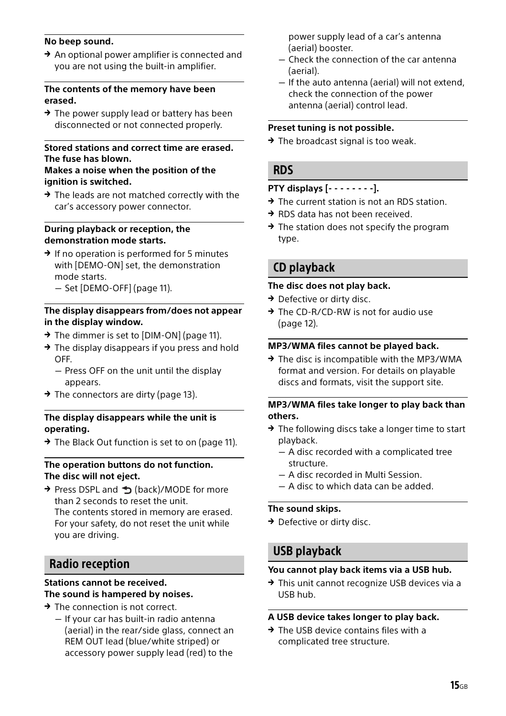#### **No beep sound.**

 $\rightarrow$  An optional power amplifier is connected and you are not using the built-in amplifier.

#### **The contents of the memory have been erased.**

 $\rightarrow$  The power supply lead or battery has been disconnected or not connected properly.

#### **Stored stations and correct time are erased. The fuse has blown.**

#### **Makes a noise when the position of the ignition is switched.**

 $\rightarrow$  The leads are not matched correctly with the car's accessory power connector.

#### **During playback or reception, the demonstration mode starts.**

- $\rightarrow$  If no operation is performed for 5 minutes with [DEMO-ON] set, the demonstration mode starts.
	- Set [DEMO-OFF] [\(page 11\)](#page-10-7).

#### **The display disappears from/does not appear in the display window.**

- $\rightarrow$  The dimmer is set to [DIM-ON] [\(page 11\)](#page-10-5).
- $\rightarrow$  The display disappears if you press and hold OFF.
	- Press OFF on the unit until the display appears.
- $\rightarrow$  The connectors are dirty ([page 13](#page-12-2)).

#### **The display disappears while the unit is operating.**

 $\rightarrow$  The Black Out function is set to on ([page 11\)](#page-10-6).

#### **The operation buttons do not function. The disc will not eject.**

→ Press DSPL and → (back)/MODE for more than 2 seconds to reset the unit. The contents stored in memory are erased. For your safety, do not reset the unit while you are driving.

#### Radio reception

#### **Stations cannot be received. The sound is hampered by noises.**

- $\rightarrow$  The connection is not correct.
	- $-$  If your car has built-in radio antenna (aerial) in the rear/side glass, connect an REM OUT lead (blue/white striped) or accessory power supply lead (red) to the

power supply lead of a car's antenna (aerial) booster.

- Check the connection of the car antenna (aerial).
- $-$  If the auto antenna (aerial) will not extend, check the connection of the power antenna (aerial) control lead.

#### **Preset tuning is not possible.**

 $\rightarrow$  The broadcast signal is too weak.

#### RDS

#### **PTY displays [- - - - - - - -].**

- $\rightarrow$  The current station is not an RDS station.
- RDS data has not been received.
- $\rightarrow$  The station does not specify the program type.

### CD playback

#### **The disc does not play back.**

- $\rightarrow$  Defective or dirty disc.
- → The CD-R/CD-RW is not for audio use [\(page 12\)](#page-11-2).

#### **MP3/WMA files cannot be played back.**

 $\rightarrow$  The disc is incompatible with the MP3/WMA format and version. For details on playable discs and formats, visit the support site.

#### **MP3/WMA files take longer to play back than others.**

- $\rightarrow$  The following discs take a longer time to start playback.
	- A disc recorded with a complicated tree structure.
	- A disc recorded in Multi Session.
	- $-$  A disc to which data can be added.

#### **The sound skips.**

 $\rightarrow$  Defective or dirty disc.

### USB playback

#### **You cannot play back items via a USB hub.**

 $\rightarrow$  This unit cannot recognize USB devices via a USB hub.

#### **A USB device takes longer to play back.**

 $\rightarrow$  The USB device contains files with a complicated tree structure.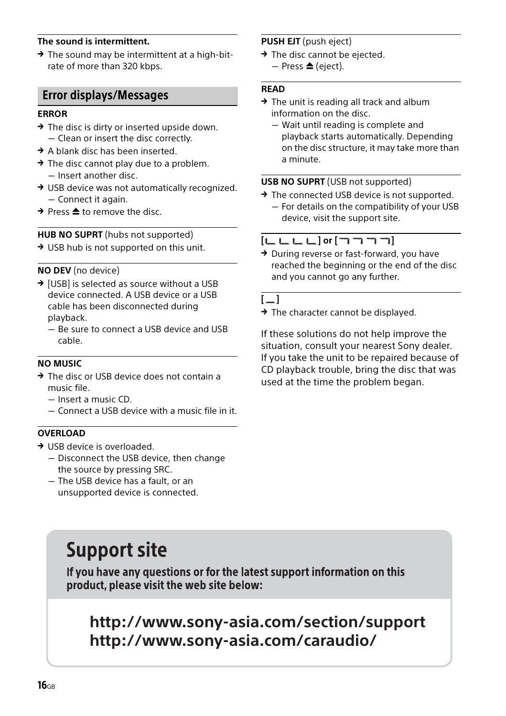#### **The sound is intermittent.**

 $\rightarrow$  The sound may be intermittent at a high-bitrate of more than 320 kbps.

#### Error displays/Messages

#### **ERROR**

- $\rightarrow$  The disc is dirty or inserted upside down. Clean or insert the disc correctly.
- $\rightarrow$  A blank disc has been inserted.
- $\rightarrow$  The disc cannot play due to a problem.  $-$  Insert another disc.
- → USB device was not automatically recognized. - Connect it again.
- $\rightarrow$  Press  $\triangle$  to remove the disc.

#### **HUB NO SUPRT** (hubs not supported)

→ USB hub is not supported on this unit.

#### **NO DEV** (no device)

- $\rightarrow$  [USB] is selected as source without a USB device connected. A USB device or a USB cable has been disconnected during playback.
	- $-$  Be sure to connect a USB device and USB cable.

#### **NO MUSIC**

- → The disc or USB device does not contain a music file.
	- $-$  Insert a music  $CD$
	- Connect a USB device with a music file in it.

#### **OVERLOAD**

- → USB device is overloaded.
	- Disconnect the USB device, then change the source by pressing SRC.
	- $-$  The USB device has a fault, or an unsupported device is connected.

## <span id="page-15-0"></span>**Support site**

If you have any questions or for the latest support information on this product, please visit the web site below:

## **http://www.sony-asia.com/section/support http://www.sony-asia.com/caraudio/**

#### **PUSH EJT** (push eject)

- $\rightarrow$  The disc cannot be ejected.
	- $-$  Press  $\triangle$  (eject).

#### **READ**

- $\rightarrow$  The unit is reading all track and album information on the disc.
	- Wait until reading is complete and playback starts automatically. Depending on the disc structure, it may take more than a minute.

#### **USB NO SUPRT** (USB not supported)

→ The connected USB device is not supported. - For details on the compatibility of your USB device, visit the support site.

#### **[ ] or []**

 $\rightarrow$  During reverse or fast-forward, you have reached the beginning or the end of the disc and you cannot go any further.

#### **[ ]**

 $\rightarrow$  The character cannot be displayed.

If these solutions do not help improve the situation, consult your nearest Sony dealer. If you take the unit to be repaired because of CD playback trouble, bring the disc that was used at the time the problem began.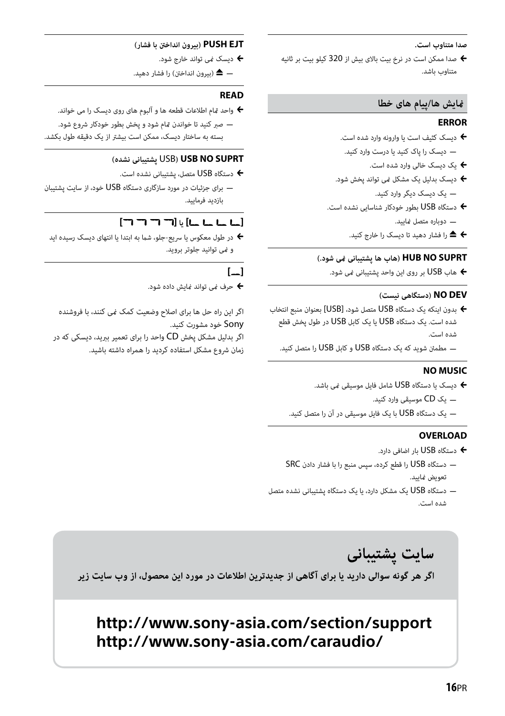#### **صدا متناوب است.**

 صدا ممکن است در نرخ بیت بالای بیش از 320 کیلو بیت بر ثانیه متناوب باشد.

#### **منایش ها/پیام های خطا**

#### **ERROR**

- دیسک کثیف است یا وارونه وارد شده است.
- دیسک را پاک کنید یا درست وارد کنید.
	- یک دیسک خالی وارد شده است.
- دیسک بدلیل یک مشکل منی تواند پخش شود. یک دیسک دیگر وارد کنید.
- دستگاه USB بطور خودکار شناسایی نشده است. دوباره متصل منایید.
	- را فشار دهید تا دیسک را خارج کنید.

#### **SUPRT NO HUB) هاب ها پشتیبانی منی شود.)**

هاب USB بر روی این واحد پشتیبانی منی شود.

#### **DEV NO) دستگاهی نیست)**

- بدون اینکه یک دستگاه USB متصل شود، [USB [بعنوان منبع انتخاب شده است. یک دستگاه USB یا یک کابل USB در طول پخش قطع شده است.
	- مطمئن شوید که یک دستگاه USB و کابل USB را متصل کنید.

#### **NO MUSIC**

- دیسک یا دستگاه USB شامل فایل موسیقی نمی باشد.
	- یک CD موسیقی وارد کنید.
- یک دستگاه USB با یک فایل موسیقی در آن را متصل کنید.

#### **OVERLOAD**

- دستگاه USB بار اضافی دارد.
- دستگاه USB را قطع کرده، سپس منبع را با فشار دادن SRC تعویض مایید.
- دستگاه USB یک مشکل دارد، یا یک دستگاه پشتیبانی نشده متصل شده است.

#### **EJT PUSH) بیرون انداخنت با فشار)**

- دیسک منی تواند خارج شود.
- ) بیرون انداخنت) را فشار دهید.

#### **READ**

- واحد متام اطلاعات قطعه ها و آلبوم های روی دیسک را می خواند.
- صبر کنید تا خواندن متام شود و پخش بطور خودکار شروع شود. بسته به ساختار دیسک، ممکن است بیشتر از یک دقیقه طول بکشد.

#### **(نشده پشتیبانی** USB**) USB NO SUPRT**

- دستگاه USB متصل، پشتیبانی نشده است.
- برای جزئیات در مورد سازگاری دستگاه USB خود، از سایت پشتیبان بازدید فرمایید.

### **[ ] یا [ ]**

 در طول معکوس یا سریع-جلو، شام به ابتدا یا انتهای دیسک رسیده اید و منی توانید جلوتر بروید.

#### **[ ]**

حرف منی تواند منایش داده شود.

اگر این راه حل ها برای اصلاح وضعیت کمک منی کنند، با فروشنده Sony خود مشورت کنید. اگر بدلیل مشکل پخش CD واحد را برای تعمیر ببرید، دیسکی که در

زمان شروع مشکل استفاده کردید را همراه داشته باشید.

سایت یشتیبانی اگر هر گونه سوالی دارید یا برای آگاهی از جدیدترین اطلاعات در مورد این محصول، از وب سایت زیر

## **http://www.sony-asia.com/section/support http://www.sony-asia.com/caraudio/**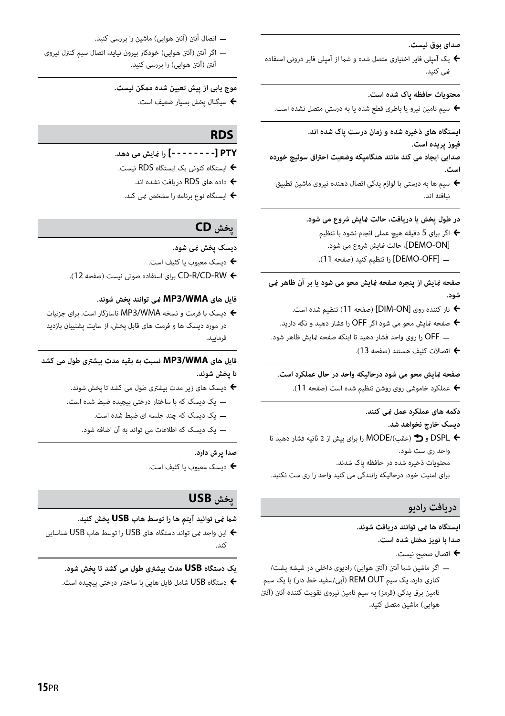**صدای بوق نیست.**

یک آمپلی فایر اختیاری متصل شده و شما از آمپلی فایر درونی استفاده  $\blacklozenge$ منی کنید.

#### **محتویات حافظه پاک شده است.**

سیم تامین نیرو یا باطری قطع شده یا به درستی متصل نشده است.

**ایستگاه های ذخیره شده و زمان درست پاک شده اند.**

**فیوز پریده است.**

**صدایی ایجاد می کند مانند هنگامیکه وضعیت احتراق سوئیچ خورده است.**

 سیم ها به درستی با لوازم یدکی اتصال دهنده نیروی ماشین تطبیق نیافته اند.

**در طول پخش یا دریافت، حالت منایش شروع می شود.**

 اگر برای 5 دقیقه هیچ عملی انجام نشود با تنظیم [DEMO-ON]، حالت نمایش شروع می شود. ] OFF-DEMO [را تنظیم کنید (صفحه 11).

**صفحه منایش از پنجره صفحه منایش محو می شود یا بر آن ظاهر منی شود.**

- تار کننده روی [ON-DIM) [صفحه 11) تنظیم شده است.
- صفحه منایش محو می شود اگر OFF را فشار دهید و نگه دارید.
- OFF را روی واحد فشار دهید تا اینکه صفحه منایش ظاهر شود.
	- اتصالات کثیف هستند (صفحه 13).

#### **صفحه منایش محو می شود درحالیکه واحد در حال عملکرد است.**

عملکرد خاموشی روی روشن تنظیم شده است (صفحه 11).

#### **دکمه های عملکرد عمل منی کنند. دیسک خارج نخواهد شد.**

 DSPL و (عقب)/MODE را برای بیش از 2 ثانیه فشار دهید تا واحد ری ست شود. محتویات ذخیره شده در حافظه پاک شدند. برای امنیت خود، درحالیکه رانندگی می کنید واحد را ری ست نکنید.

#### **دریافت رادیو**

**ایستگاه ها منی توانند دریافت شوند. صدا با نویز مختل شده است.**

- اتصال صحیح نیست.
- اگر ماشین شام آننت (آننت هوایی) رادیوی داخلی در شیشه پشت/ کناری دارد، یک سیم REM OUT (آبی/سفید خط دار) یا یک سیم تامین برق یدکی (قرمز) به سیم تامین نیروی تقویت کننده آننت (آننت هوایی) ماشین متصل کنید.

اتصال آننت (آننت هوایی) ماشین را بررسی کنید.

 اگر آننت (آننت هوایی) خودکار بیرون نیاید، اتصال سیم کنترل نیروی آننت (آننت هوایی) را بررسی کنید.

**موج یابی از پیش تعیین شده ممکن نیست.**

سیگنال پخش بسیار ضعیف است.

#### **RDS**

- **PTY] - - - - [را منایش می دهد.**
- ایستگاه کنونی یک ایستگاه RDS نیست.
	- داده های RDS دریافت نشده اند.
- ایستگاه نوع برنامه را مشخص منی کند.

### **پخش CD**

- **دیسک پخش منی شود.**
- دیسک معیوب یا کثیف است.
- RW-CD/R-CD برای استفاده صوتی نیست (صفحه 12).

#### **فایل های WMA3/MP منی توانند پخش شوند.**

 دیسک با فرمت و نسخه WMA3/MP ناسازگار است. برای جزئیات در مورد دیسک ها و فرمت های قابل پخش، از سایت پشتیبان بازدید فرمایید.

#### **فایل های WMA3/MP نسبت به بقیه مدت بیشتری طول می کشد تا پخش شوند.**

- دیسک های زیر مدت بیشتری طول می کشد تا پخش شوند. یک دیسک که با ساختار درختی پیچیده ضبط شده است.
	- یک دیسک که چند جلسه ای ضبط شده است.
	- یک دیسک که اطلاعات می تواند به آن اضافه شود.

#### **صدا پرش دارد.**

دیسک معیوب یا کثیف است.

### **پخش USB**

#### **شام منی توانید آیتم ها را توسط هاب USB پخش کنید.**

 این واحد منی تواند دستگاه های USB را توسط هاب USB شناسایی کند.

#### **یک دستگاه USB مدت بیشتری طول می کشد تا پخش شود.**

دستگاه USB شامل فایل هایی با ساختار درختی پیچیده است.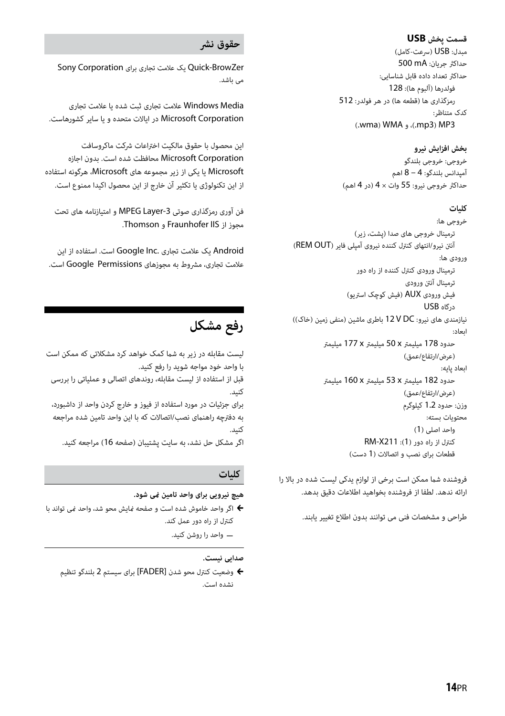#### **قسمت پخش USB**

مبدل: USB) سرعت-کامل) حداکرث جریان: mA 500 حداکرث تعداد داده قابل شناسایی: فولدرها (آلبوم ها): 128 رمزگذاری ها (قطعه ها) در هر فولدر: 512 کدک متناظر: (.wma) WMA (.mp3) MP3

#### **بخش افزایش نیرو**

خروجی: خروجی بلندگو آمپدانس بلندگو: 4 – 8 اهم حداکرث خروجی نیرو: 55 وات × 4 (در 4 اهم)

#### **کلیات**

خروجی ها: ترمینال خروجی های صدا (پشت، زیر) آننت نیرو/انتهای کنترل کننده نیروی آمپلی فایر (OUT REM( ورودی ها: ترمینال ورودی کنترل کننده از راه دور ترمینال آننت ورودی فیش ورودی AUX) فیش کوچک استریو) درگاه USB نیازمندی های نیرو: DC V 12 باطری ماشین (منفی زمین (خاک)) ابعاد: حدود 178 میلیمتر x 50 میلیمتر x 177 میلیمتر (عرض/ارتفاع/عمق) ابعاد پایه: حدود 182 میلیمتر x 53 میلیمتر x 160 میلیمتر (عرض/ارتفاع/عمق) وزن: حدود 1.2 کیلوگرم محتویات بسته: واحد اصلی (1) کنترل از راه دور (1): 211X-RM قطعات برای نصب و اتصالات (1 دست)

فروشنده شما ممکن است برخی از لوازم یدکی لیست شده در بالا را ارائه ندهد. لطفا از فروشنده بخواهید اطلاعات دقیق بدهد.

طراحی و مشخصات فنی می توانند بدون اطلاع تغییر یابند.

#### **حقوق نشر**

BrowZer-Quick یک علامت تجاری برای Corporation Sony می باشد.

Media Windows علامت تجاری ثبت شده یا علامت تجاری Corporation Microsoft در ایالات متحده و یا سایر کشورهاست.

این محصول با حقوق مالکیت اختراعات شرکت ماکروسافت Corporation Microsoft محافظت شده است. بدون اجازه Microsoft یا یکی از زیر مجموعه های Microsoft، هرگونه استفاده از این تکنولوژی یا تکثیر آن خارج از این محصول اکیدا ممنوع است.

فن آوری رمزگذاری صوتی MPEG Layer-3 و امتیازنامه های تحت مجوز از IIS Fraunhofer و Thomson.

Android یک علامت تجاری .Inc Google است. استفاده از این علامت تجاری، مشروط به مجوزهای Permissions Google است.

## **رفع مشکل**

لیست مقابله در زیر به شما کمک خواهد کرد مشکلاتی که ممکن است با واحد خود مواجه شوید را رفع کنید. قبل از استفاده از لیست مقابله، روندهای اتصالی و عملیاتی را بررسی کنید. برای جزئیات در مورد استفاده از فیوز و خارج کردن واحد از داشبورد، به دفترچه راهنمای نصب/اتصالات که با این واحد تامین شده مراجعه کنید. اگر مشکل حل نشد، به سایت پشتیبان (صفحه 16) مراجعه کنید.

#### **کلیات**

- **هیچ نیرویی برای واحد تامین منی شود.**
- اگر واحد خاموش شده است و صفحه منایش محو شد، واحد منی تواند با کنترل از راه دور عمل کند. واحد را روشن کنید.

#### **صدایی نیست.**

 وضعیت کنترل محو شدن [FADER [برای سیستم 2 بلندگو تنظیم نشده است.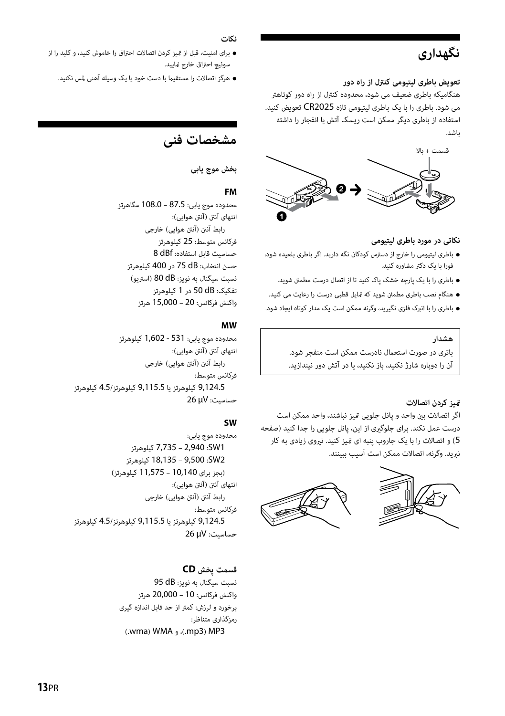## **نگهداری**

#### **تعویض باطری لیتیومی کنترل از راه دور**

هنگامیکه باطری ضعیف می شود، محدوده کنترل از راه دور کوتاهتر می شود. باطری را با یک باطری لیتیومی تازه 2025CR تعویض کنید. استفاده از باطری دیگر ممکن است ریسک آتش یا انفجار را داشته باشد.



#### **نکاتی در مورد باطری لیتیومی**

- باطری لیتیومی را خارج از دسترس کودکان نگه دارید. اگر باطری بلعیده شود، فورا با یک دکتر مشاوره کنید.
	- باطری را با یک پارچه خشک پاک کنید تا از اتصال درست مطمئن شوید.
- هنگام نصب باطری مطمئن شوید که متایل قطبی درست را رعایت می کنید.
- باطری را با انبرک فلزی نگیرید، وگرنه ممکن است یک مدار کوتاه ایجاد شود.

#### **هشدار**

باتری در صورت استعمال نادرست ممکن است منفجر شود. آن را دوباره شارژ نکنید، باز نکنید، یا در آتش دور نیندازید.

#### **متیز کردن اتصالات**

اگر اتصالات بني واحد و پانل جلويی متيز نباشند، واحد ممكن است درست عمل نكند. برای جلوگريی از اين، پانل جلويی را جدا كنيد (صفحه 5) و اتصالات را با يک جاروب پنبه ای متيز كنيد. نريوی زيادی به كار نبريد. وگرنه، اتصالات ممكن است آسيب ببينند.





#### **نکات**

- برای امنیت، قبل از متیز کردن اتصالات احتراق را خاموش کنید، و کلید را از سوئیچ احتراق خارج مایید.
	- هرگز اتصالات را مستقیام با دست خود یا یک وسیله آهنی لمس نکنید.

## **مشخصات فنی**

#### **بخش موج یابی**

#### **FM**

محدوده موج یابی: 87.5 – 108.0 مگاهرتز انتهای آننت (آننت هوایی): رابط آننت (آننت هوایی) خارجی فرکانس متوسط: 25 کیلوهرتز حساسیت قابل استفاده: dBf 8 حسن انتخاب: dB 75 در 400 کیلوهرتز نسبت سیگنال به نویز: dB 80) استریو) تفکیک: dB 50 در 1 کیلوهرتز واکنش فرکانس: 20 – 15,000 هرتز

#### **MW**

محدوده موج یابی: 531 - 1,602 کیلوهرتز انتهای آننت (آننت هوایی): رابط آننت (آننت هوایی) خارجی فرکانس متوسط: 9,124.5 کیلوهرتز یا 9,115.5 کیلوهرتز4.5/ کیلوهرتز حساسیت: μV 26

#### **SW**

محدوده موج یابی: 1SW: 2,940 – 7,735 کیلوهرتز 2SW: 9,500 – 18,135 کیلوهرتز (بجز برای 10,140 – 11,575 کیلوهرتز) انتهای آننت (آننت هوایی): رابط آننت (آننت هوایی) خارجی فرکانس متوسط: 9,124.5 کیلوهرتز یا 9,115.5 کیلوهرتز4.5/ کیلوهرتز حساسیت: μV 26

#### **قسمت پخش CD**

نسبت سیگنال به نویز: dB 95 واکنش فرکانس: 10 – 20,000 هرتز برخورد و لرزش: کمتر از حد قابل اندازه گیری رمزگذاری متناظر: (.wma) WMA (.mp3) MP3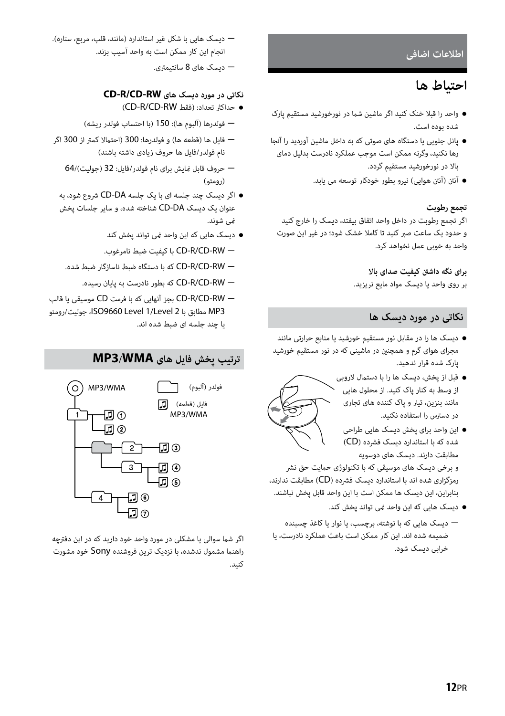#### **اطلاعات اضافی**

## **احتیاط ها**

- واحد را قبلا خنک کنید اگر ماشین شام در نورخورشید مستقیم پارک شده بوده است.
- پانل جلویی یا دستگاه های صوتی که به داخل ماشین آوردید را آنجا رها نکنید، وگرنه ممکن است موجب عملکرد نادرست بدلیل دمای بالا در نورخورشید مستقیم گردد.
	- آننت (آننت هوایی) نیرو بطور خودکار توسعه می یابد.

#### **تجمع رطوبت**

اگر تجمع رطوبت در داخل واحد اتفاق بیفتد، دیسک را خارج کنید و حدود یک ساعت صبر کنید تا کاملا خشک شود؛ در غیر این صورت واحد به خوبی عمل نخواهد کرد.

#### **برای نگه داشنت کیفیت صدای بالا**

بر روی واحد یا دیسک مواد مایع نریزید.

#### **نکاتی در مورد دیسک ها**

- ديسک ها را در مقابل نور مستقيم خورشيد يا منابع حرارتی مانند مجرای هوای گرم و همچنني در ماشينی كه در نور مستقيم خورشيد پارک شده قرار ندهيد.
	- قبل از پخش، دیسک ها را با دستامل لاروبی از وسط به کنار پاک کنید. از محلول هایی مانند بنزین، تیرن و پاک کننده های تجاری در دسترس را استفاده نکنید.
		- این واحد برای پخش دیسک هایی طراحی شده که با استاندارد دیسک فشرده (CD ( مطابقت دارند. دیسک های دوسویه

و برخی دیسک های موسیقی که با تکنولوژی حامیت حق نشر رمزگزاری شده اند با استاندارد دیسک فشرده (CD (مطابقت ندارند، بنابراین، این دیسک ها ممکن است با این واحد قابل پخش نباشند.

- دیسک هایی که این واحد منی تواند پخش کند.
- دیسک هایی که با نوشته، برچسب، یا نوار یا کاغذ چسبنده ضمیمه شده اند. این کار ممکن است باعث عملکرد نادرست، یا خرابی دیسک شود.
- دیسک هایی با شکل غیر استاندارد (مانند، قلب، مربع، ستاره). انجام این کار ممکن است به واحد آسیب بزند.
	- دیسک های 8 سانتیمتری.

#### **نکاتی در مورد دیسک های RW-CD/R-CD**

- (CD-R/CD-RW فقط (:تعداد حداکرث
- فولدرها (آلبوم ها): 150 (با احتساب فولدر ریشه)
- فایل ها (قطعه ها) و فولدرها: 300 (احتمالا کمتر از 300 اگر نام فولدر/فایل ها حروف زیادی داشته باشند)
	- حروف قابل منایش برای نام فولدر/فایل: 32 (جولیت)64/ (رومئو)
	- اگر دیسک چند جلسه ای با یک جلسه DA-CD شروع شود، به عنوان یک دیسک DA-CD شناخته شده، و سایر جلسات پخش منی شوند.
		- دیسک هایی که این واحد منی تواند پخش کند
		- .نامرغوب ضبط کیفیت با CD-R/CD-RW
		- RW-CD/R-CD که با دستگاه ضبط ناسازگار ضبط شده.
			- RW-CD/R-CD که بطور نادرست به پایان رسیده.
- RW-CD/R-CD بجز آنهایی که با فرمت CD موسیقی یا قالب 3MP مطابق با 2 Level1/ Level 9660ISO، جولیت/رومئو یا چند جلسه ای ضبط شده اند.

## **ترتیب پخش فایل های WMA3/MP**



اگر شما سوالی یا مشکلی در مورد واحد خود دارید که در این دفترچه راهنام مشمول ندشده، با نزدیک ترین فروشنده Sony خود مشورت کنید.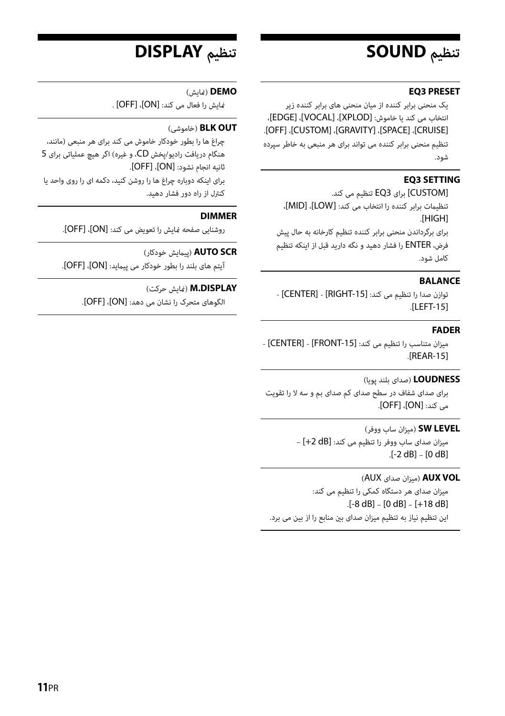## **تنظیم SOUND**

#### **EQ3 PRESET**

یک منحنی برابر کننده از میان منحنی های برابر کننده زیر انتخاب می کند یا خاموش: [XPLOD[،] VOCAL[،] EDGE[، .[OFF] ،[CUSTOM] ،[GRAVITY] ،[SPACE] ،[CRUISE]

تنظیم منحنی برابر کننده می تواند برای هر منبعی به خاطر سپرده شود.

#### **EQ3 SETTING**

[CUSTOM [برای 3EQ تنظیم می کند. تنظیامت برابر کننده را انتخاب می کند: [LOW[،] MID[، .[HIGH]

برای برگرداندن منحنی برابر کننده تنظیم کارخانه به حال پیش فرض، ENTER را فشار دهید و نگه دارید قبل از اینکه تنظیم کامل شود.

#### **BALANCE**

توازن صدا را تنظیم می کند: [RIGHT-15] -.[LEFT-15]

#### **FADER**

میزان متناسب را تنظیم می کند: [-15FRONT [-] CENTER [- .[REAR-15]

#### **LOUDNESS**) صدای بلند پویا)

برای صدای شفاف در سطح صدای کم صدای بم و سه لا را تقویت می کند: [ON[،] OFF[.

#### **LEVEL SW**) میزان ساب ووفر)

میزان صدای ساب ووفر را تنظیم می کند: [dB +2– [ .[-2 dB] – [0 dB]

#### (AUX صدای میزان (**AUX VOL**

میزان صدای هر دستگاه کمکی را تنظیم می کند:  $[-8 dB] - [0 dB] - [+18 dB]$ اين تنظيم نیاز به تنظيم ميزان صدای بني منابع را از بین می برد.

## **تنظیم DISPLAY**

#### **DEMO**) منایش)

منایش را فعال می کند: [ON[،] OFF [.

#### (خاموشی (**BLK OUT**

چراغ ها را بطور خودکار خاموش می کند برای هر منبعی (مانند، هنگام دریافت رادیو/پخش CD، و غیره) اگر هیچ عملیاتی برای 5 ثانیه انجام نشود: [ON[،] OFF[. برای اینکه دوباره چراغ ها را روشن کنید، دکمه ای را روی واحد یا کنترل از راه دور فشار دهید.

#### **DIMMER**

روشنایی صفحه منایش را تعویض می کند: [ON[،] OFF[.

#### **SCR AUTO**) پیامیش خودکار)

آیتم های بلند را بطور خودکار می پیامید: [ON[،] OFF[.

#### **M.DISPLAY** (مَایش حرکت)

الگوهای متحرک را نشان می دهد: [ON[،] OFF[.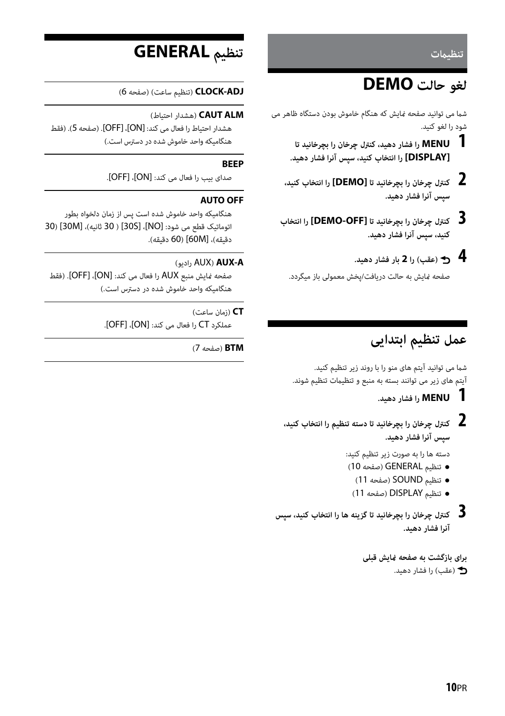**تنظیامت**

## **لغو حالت DEMO**

شما می توانید صفحه مایش که هنگام خاموش بودن دستگاه ظاهر می شود را لغو کنید.

- **1 MENU را فشار دهید، کنترل چرخان را بچرخانید تا [DISPLAY [را انتخاب کنید، سپس آنرا فشار دهید.**
- **2 کنترل چرخان را بچرخانید تا [DEMO [را انتخاب کنید، سپس آنرا فشار دهید.**
- **3 کنترل چرخان را بچرخانید تا [OFF-DEMO [را انتخاب کنید، سپس آنرا فشار دهید.**
	- **4 (عقب) را 2 بار فشار دهید.**

صفحه منایش به حالت دریافت/پخش معمولی باز میگردد.

## **عمل تنظیم ابتدایی**

شما می توانید آیتم های منو را با روند زیر تنظیم کنید. آیتم های زیر می توانند بسته به منبع و تنظیمات تنظیم شوند.

 **1 MENU را فشار دهید.**

 **2 کنترل چرخان را بچرخانید تا دسته تنظیم را انتخاب کنید، سپس آنرا فشار دهید.**

دسته ها را به صورت زیر تنظیم کنید:

- تنظیم GENERAL) صفحه 10)
	- تنظیم SOUND) صفحه 11)
	- تنظیم DISPLAY) صفحه 11)
- **3 کنترل چرخان را بچرخانید تا گزینه ها را انتخاب کنید، سپس آنرا فشار دهید.**

**برای بازگشت به صفحه منایش قبلی** (عقب) را فشار دهید.

## **تنظیم GENERAL**

**ADJ-CLOCK**) تنظیم ساعت) (صفحه 6)

#### **ALM CAUT**) هشدار احتیاط)

هشدار احتیاط را فعال می کند: [ON[،] OFF[.) صفحه 5). (فقط هنگامیکه واحد خاموش شده در دسترس است.)

#### **BEEP**

صدای بیب را فعال می کند: [ON[،] OFF[.

#### **AUTO OFF**

هنگامیکه واحد خاموش شده است پس از زمان دلخواه بطور اتوماتیک قطع می شود: [NO[،] S30 ) [30 ثانیه)، [M30) [30 دقیقه)، [M60) [60 دقیقه).

#### (رادیو AUX) **AUX-A**

صفحه منایش منبع AUX را فعال می کند: [ON[،] OFF[.) فقط هنگامیکه واحد خاموش شده در دسترس است.)

#### **CT**) زمان ساعت)

عملکرد CT را فعال می کند: [ON[،] OFF[.

#### **BTM**) صفحه 7)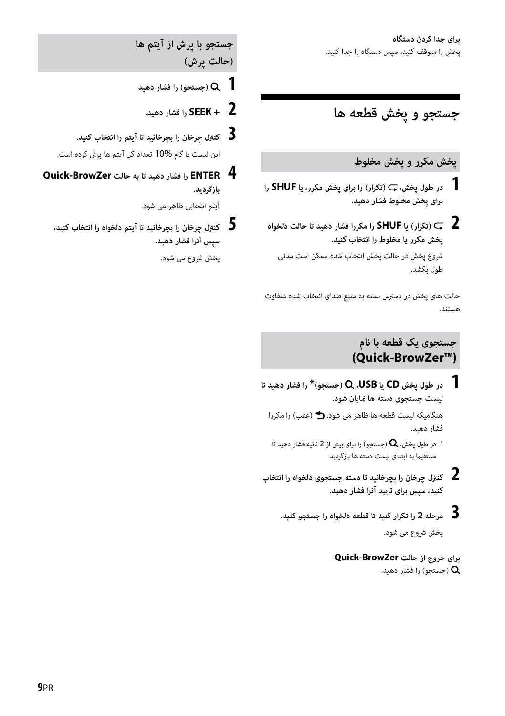## **جستجو و پخش قطعه ها**

### **پخش مکرر و پخش مخلوط**

- **1 در طول پخش، (تکرار) را برای پخش مکرر، یا SHUF را برای پخش مخلوط فشار دهید.**
- **2 (تکرار) یا SHUF را مکررا فشار دهید تا حالت دلخواه پخش مکرر یا مخلوط را انتخاب کنید.**

شروع پخش در حالت پخش انتخاب شده ممکن است مدتی طول بکشد.

حالت های پخش در دسترس بسته به منبع صدای انتخاب شده متفاوت هستند.

### **جستجوی یک قطعه با نام (Quick-BrowZer™)**

 **1 در طول پخش CD یا USB،) جستجو)**\* **را فشار دهید تا لیست جستجوی دسته ها منایان شود.** 

هنگامیکه لیست قطعه ها ظاهر می شود، (عقب) را مکررا فشار دهید.

- در طول پخش،  ${\bf Q}$  (جستجو) را برای بیش از 2 ثانیه فشار دهید تا  $^*$ مستقیام به ابتدای لیست دسته ها بازگردید.
- **2 کنترل چرخان را بچرخانید تا دسته جستجوی دلخواه را انتخاب کنید، سپس برای تایید آنرا فشار دهید.**
	- **3 مرحله 2 را تکرار کنید تا قطعه دلخواه را جستجو کنید.** پخش شروع می شود.

**برای خروج از حالت BrowZer-Quick** (جستجو) را فشار دهید.  ${\mathsf Q}$ 

**جستجو با پرش از آیتم ها (حالت پرش)**

- **1 (جستجو) را فشار دهید**
	- **2 + SEEK را فشار دهید.**
- **3 کنترل چرخان را بچرخانید تا آیتم را انتخاب کنید.** این لیست با گام 10% تعداد کل آیتم ها پرش کرده است.
- **4 ENTER را فشار دهید تا به حالت BrowZer-Quick بازگردید.**

آیتم انتخابی ظاهر می شود.

 **5 کنترل چرخان را بچرخانید تا آیتم دلخواه را انتخاب کنید، سپس آنرا فشار دهید.**

پخش شروع می شود.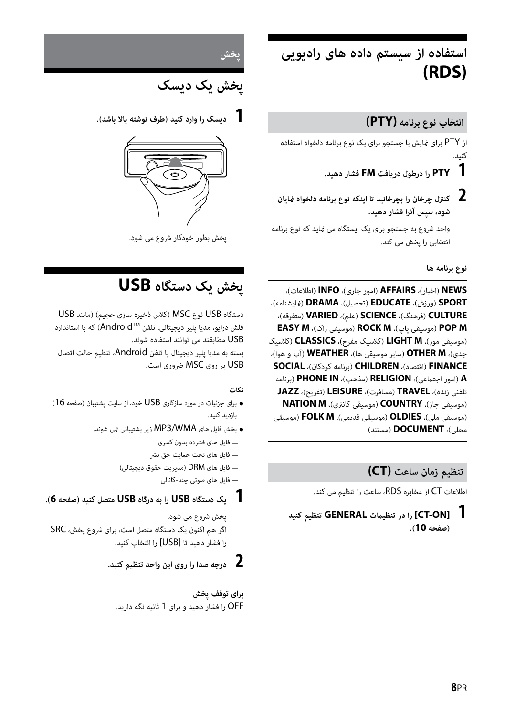**استفاده از سیستم داده های رادیویی (RDS)**

#### **انتخاب نوع برنامه (PTY(**

از PTY برای منایش یا جستجو برای یک نوع برنامه دلخواه استفاده کنید.

- **1 PTY را درطول دریافت FM فشار دهید.**
- **2 کنترل چرخان را بچرخانید تا اینکه نوع برنامه دلخواه منایان شود، سپس آنرا فشار دهید.**

واحد شروع به جستجو برای یک ایستگاه می مناید که نوع برنامه انتخابی را پخش می کند.

**نوع برنامه ها**

**NEWS**) اخبار)، **AFFAIRS**) امور جاری)، **INFO**) اطلاعات)، **SPORT**) ورزش)، **EDUCATE**) تحصیل)، **DRAMA**) منایشنامه)، **CULTURE**) فرهنگ)، **SCIENCE**) علم)، **VARIED**) متفرقه)، **EASY M** ،(راک موسیقی (**ROCK M** ،(پاپ موسیقی (**POP M** (موسیقی مور)، **M LIGHT**) کلاسیک مفرح)، **CLASSICS**) کلاسیک جدی)، **M OTHER**) سایر موسیقی ها)، **WEATHER**) آب و هوا)، **FINANCE**) اقتصاد)، **CHILDREN**) برنامه کودکان)، **SOCIAL A**) امور اجتامعی)، **RELIGION**) مذهب)، **IN PHONE**) برنامه تلفنی زنده)، **TRAVEL**) مسافرت)، **LEISURE**) تفریح)، **JAZZ** (موسیقی جاز)، **COUNTRY**) موسیقی کانتری)، **M NATION** (موسیقی ملی)، **OLDIES**) موسیقی قدیمی)، **M FOLK**) موسیقی محلی)، **DOCUMENT**) مستند)

### **تنظیم زمان ساعت (CT(**

اطلاعات CT از مخابره RDS، ساعت را تنظیم می کند.

 **1 [ON-CT [را در تنظیامت GENERAL تنظیم کنید (صفحه 10).**



**پخش یک دیسک**

 **1 دیسک را وارد کنید (طرف نوشته بالا باشد).**



پخش بطور خودکار شروع می شود.

## **پخش یک دستگاه USB**

دستگاه USB نوع MSC) کلاس ذخیره سازی حجیم) (مانند USB فلش درایو، مدیا پلیر دیجیتالی، تلفن AndroidTM (که با استاندارد USB مطابقند می توانند استفاده شوند. بسته به مدیا پلیر دیجیتال یا تلفن Android، تنظیم حالت اتصال USB بر روی MSC ضروری است.

#### **نکات**

- برای جزئیات در مورد سازگاری USB خود، از سایت پشتیبان (صفحه 16) بازدید کنید.
	- پخش فایل های WMA3/MP زیر پشتیبانی منی شوند.
		- فایل های فشرده بدون کسری
		- ے فایل های تحت حمایت حق نشر
		- فایل های DRM) مدیریت حقوق دیجیتالی)
			- فایل های صوتی چند-کانالی

#### **1 یک دستگاه USB را به درگاه USB متصل کنید (صفحه 6).**

پخش شروع می شود. اگر هم اکنون یک دستگاه متصل است، برای شروع پخش، SRC را فشار دهید تا [USB [را انتخاب کنید.

### **2 درجه صدا را روی این واحد تنظیم کنید.**

**برای توقف پخش** OFF را فشار دهید و برای 1 ثانیه نگه دارید.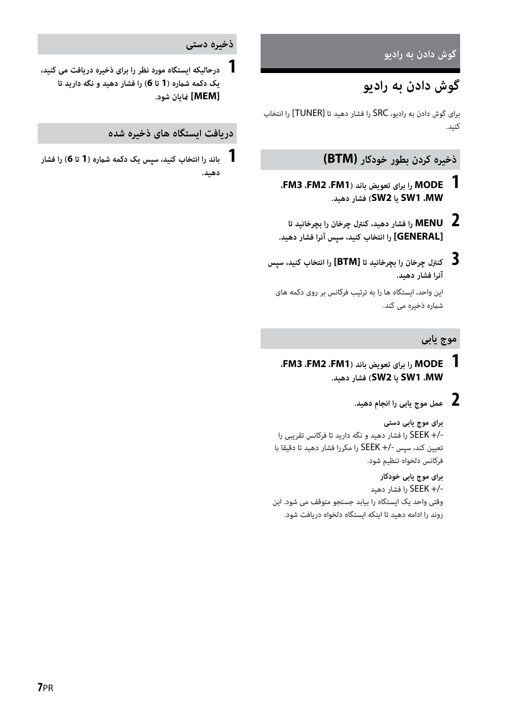**گوش دادن به رادیو**

## **گوش دادن به رادیو**

برای گوش دادن به رادیو، SRC را فشار دهید تا [TUNER [را انتخاب کنید.

#### **ذخیره کردن بطور خودکار (BTM(**

- **1 MODE را برای تعویض باند (1FM، 2FM، 3FM، MW، 1SW یا 2SW (فشار دهید.**
- **2 MENU را فشار دهید، کنترل چرخان را بچرخانید تا [GENERAL [را انتخاب کنید، سپس آنرا فشار دهید.**
- **3 کنترل چرخان را بچرخانید تا [BTM [را انتخاب کنید، سپس آنرا فشار دهید.** این واحد، ایستگاه ها را به ترتیب فرکانس بر روی دکمه های شامره ذخیره می کند.

#### **موج یابی**

- **1 MODE را برای تعویض باند (1FM، 2FM، 3FM، MW، 1SW یا 2SW (فشار دهید.**
	- **2 عمل موج یابی را انجام دهید.**

**برای موج یابی دستی** +/- SEEK را فشار دهید و نگه دارید تا فرکانس تقریبی را تعیین کند، سپس +/- SEEK را مکررا فشار دهید تا دقیقا با فرکانس دلخواه تنظیم شود.

**برای موج یابی خودکار** +/- SEEK را فشار دهید وقتی واحد یک ایستگاه را بیابد جستجو متوقف می شود. این روند را ادامه دهید تا اینکه ایستگاه دلخواه دریافت شود.

#### **ذخیره دستی**

 **1 درحالیکه ایستگاه مورد نظر را برای ذخیره دریافت می کنید، یک دکمه شامره (1 تا 6) را فشار دهید و نگه دارید تا [MEM [منایان شود.**

#### **دریافت ایستگاه های ذخیره شده**

 **1 باند را انتخاب کنید، سپس یک دکمه شامره (1 تا 6) را فشار دهید.**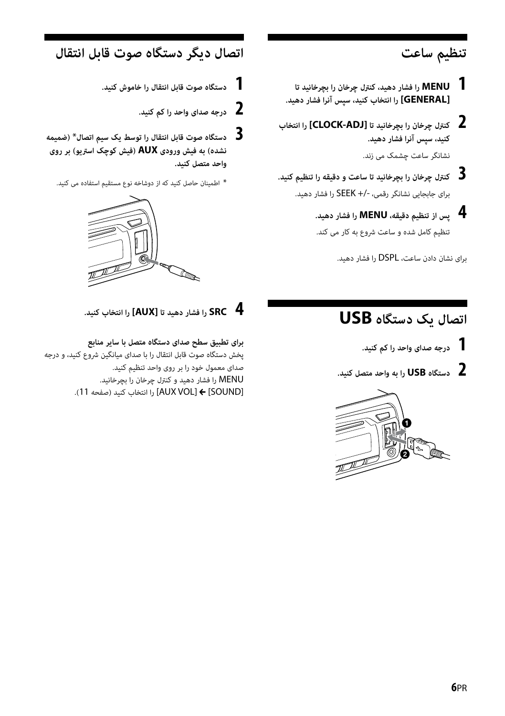## **تنظیم ساعت**

- **1 MENU را فشار دهید، کنترل چرخان را بچرخانید تا [GENERAL [را انتخاب کنید، سپس آنرا فشار دهید.**
- **2 کنترل چرخان را بچرخانید تا [ADJ-CLOCK [را انتخاب کنید، سپس آنرا فشار دهید.** نشانگر ساعت چشمک می زند.
- **3 کنترل چرخان را بچرخانید تا ساعت و دقیقه را تنظیم کنید.** برای جابجایی نشانگر رقمی، +/- SEEK را فشار دهید.
	- **4 پس از تنظیم دقیقه، MENU را فشار دهید.** تنظیم کامل شده و ساعت شروع به کار می کند.

برای نشان دادن ساعت، DSPL را فشار دهید.

## **اتصال دیگر دستگاه صوت قابل انتقال**

- **1 دستگاه صوت قابل انتقال را خاموش کنید.**
	- **2 درجه صدای واحد را کم کنید.**
- **3 دستگاه صوت قابل انتقال را توسط یک سیم اتصال**\* **(ضمیمه نشده) به فیش ورودی AUX) فیش کوچک استریو) بر روی واحد متصل کنید.**
	- \* اطمینان حاصل کنید که از دوشاخه نوع مستقیم استفاده می کنید.



## **اتصال یک دستگاه USB**

- **1 درجه صدای واحد را کم کنید.**
- **2 دستگاه USB را به واحد متصل کنید.**



 **4 SRC را فشار دهید تا [AUX [را انتخاب کنید.**

**برای تطبیق سطح صدای دستگاه متصل با سایر منابع** پخش دستگاه صوت قابل انتقال را با صدای میانگین شروع کنید، و درجه صدای معمول خود را بر روی واحد تنظیم کنید. MENU را فشار دهید و کنترل چرخان را بچرخانید. [SOUND [] VOL AUX [را انتخاب کنید (صفحه 11).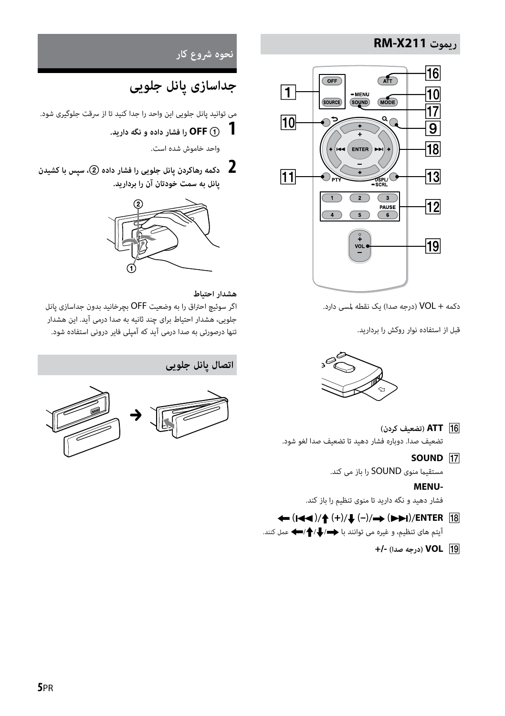### **RM-X211 ریموت**



دکمه + VOL) درجه صدا) یک نقطه لمسی دارد.

قبل از استفاده نوار روکش را بردارید.



- **ATT) تضعیف کردن)** تضعیف صدا. دوباره فشار دهید تا تضعیف صدا لغو شود.
	- **SOUND 17**

مستقیام منوی SOUND را باز می کند.

#### **MENU-**

فشار دهید و نگه دارید تا منوی تنظیم را باز کند.

- **← (** $\left(\frac{1}{4}$ )/ $\left(\frac{1}{4}\right)$ ( $\left(\frac{1}{4}\right)$ ( $\left(\frac{1}{4}\right)$ ( $\left(\frac{1}{4}\right)$  $\left(\frac{1}{4}\right)$  $\left(\frac{1}{4}\right)$  $\left(\frac{1}{4}\right)$  $\left(\frac{1}{4}\right)$  $\left(\frac{1}{4}\right)$  $\left(\frac{1}{4}\right)$  $\left(\frac{1}{4}\right)$  $\left(\frac{1}{4}\right)$  $\left(\frac{1}{4}\right)$  $\left(\frac{1}{4}\right)$  $\left(\frac{1}{4}\right)$  $\left(\frac$ آیتم های تنظیم، و غیره می توانند با /// عمل کنند.
	- **VOL) درجه صدا) +/-**

**نحوه شروع کار**

## **جداسازی پانل جلویی**

می توانید پانل جلویی این واحد را جدا کنید تا از سرقت جلوگیری شود.

 **1 OFF را فشار داده و نگه دارید.**

واحد خاموش شده است.

 **2 دکمه رهاکردن پانل جلویی را فشار داده ، سپس با کشیدن پانل به سمت خودتان آن را بردارید.**



#### **هشدار احتیاط**

اگر سوئیچ احتراق را به وضعیت OFF بچرخانید بدون جداسازی پانل جلویی، هشدار احتیاط برای چند ثانیه به صدا درمی آید. این هشدار تنها درصورتی به صدا درمی آید که آمپلی فایر درونی استفاده شود.



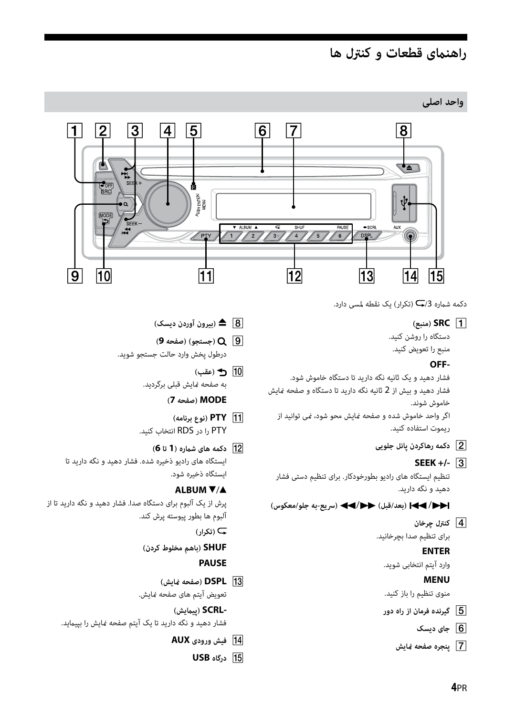## **راهنامی قطعات و کنترل ها**

**واحد اصلی**



دکمه شماره 3/<del>ب</del> (تکرار) یک نقطه لمسی دارد.

**(منبع (SRC**

دستگاه را روشن کنید. منبع را تعویض کنید.

#### **OFF-**

فشار دهید و یک ثانیه نگه دارید تا دستگاه خاموش شود. فشار دهید و بیش از 2 ثانیه نگه دارید تا دستگاه و صفحه منایش خاموش شوند. اگر واحد خاموش شده و صفحه منایش محو شود، منی توانید از ریموت استفاده کنید.

- **دکمه رهاکردن پانل جلویی**
	- **SEEK +/-**

تنظیم ایستگاه های رادیو بطورخودکار. برای تنظیم دستی فشار دهید و نگه دارید.

/**) بعد/قبل)** /**) سریع-به جلو/معکوس)**

 **کنترل چرخان**

برای تنظیم صدا بچرخانید.

#### **ENTER**

وارد آیتم انتخابی شوید.

### **MENU**

منوی تنظیم را باز کنید.

- **گیرنده فرمان از راه دور**
	- **جای دیسک**
	- **پنجره صفحه منایش**
- **) بیرون آوردن دیسک)**
- **) جستجو) (صفحه 9)** درطول پخش وارد حالت جستجو شوید.
	- **) عقب)** به صفحه غایش قبلی برگردید.

**MODE) صفحه 7)**

- **PTY) نوع برنامه)** PTY را در RDS انتخاب کنید.
- **دکمه های شامره (1 تا 6)** ایستگاه های رادیو ذخیره شده. فشار دهید و نگه دارید تا ایستگاه ذخیره شود.

#### **ALBUM**  $\Psi/\blacktriangle$

پرش از یک آلبوم برای دستگاه صدا. فشار دهید و نگه دارید تا از آلبوم ها بطور پیوسته پرش کند.

 **(تکرار)**

**SHUF) باهم مخلوط کردن)**

#### **PAUSE**

 **DSPL) صفحه منایش)** تعویض آیتم های صفحه منایش.

**-SCRL) پیامیش)** فشار دهید و نگه دارید تا یک آیتم صفحه منایش را بپیامید.

- **فیش ورودی AUX**
	- **USB درگاه**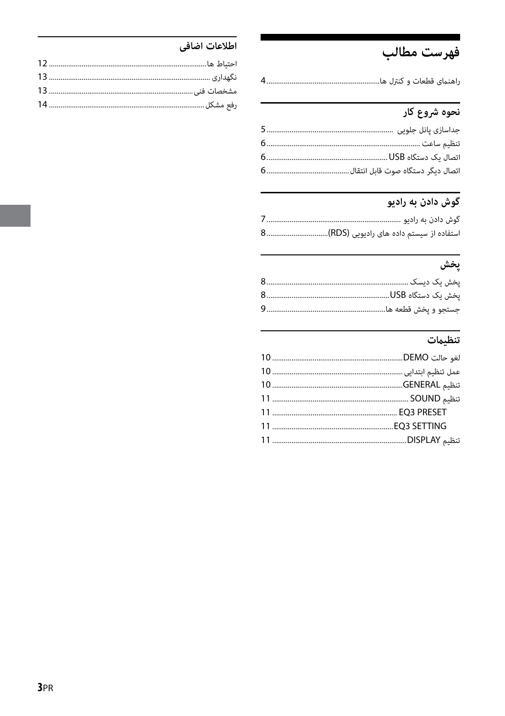## فهرست مطالب

|  |  | م منظم ای او است.<br>منابع اقطعات و اس |  |
|--|--|----------------------------------------|--|
|  |  |                                        |  |

## ۔<br>نحوہ شروع کار

## 

## پخش

### \_\_\_\_\_\_\_\_\_\_\_\_\_\_\_\_\_\_\_\_\_\_\_<br>تنظيمات

### اطلاعات اضافى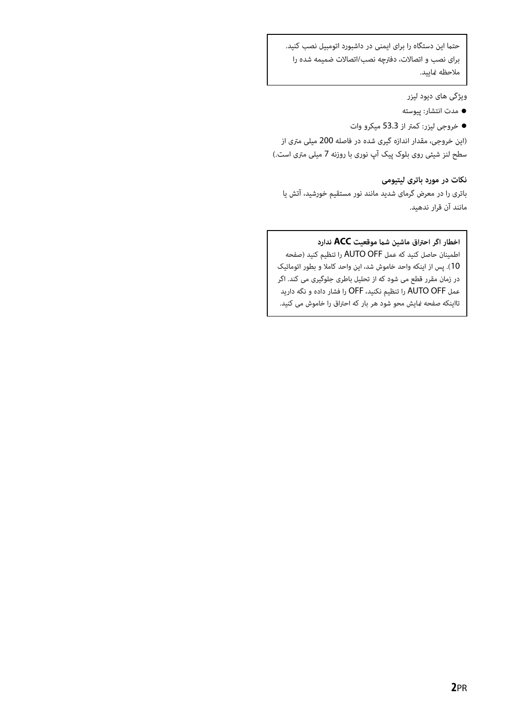حتما این دستگاه را برای ایمنی در داشبورد اتومبیل نصب کنید. برای نصب و اتصالات، دفترچه نصب/اتصالات ضمیمه شده را ملاحظه مایید.

ویژگی های دیود لیزر

- مدت انتشار: پیوسته
- خروجی لیزر: کمتر از 53.3 میکرو وات

(این خروجی، مقدار اندازه گیری شده در فاصله 200 میلی متری از سطح لنز شیئی روی بلوک پیک آپ نوری با روزنه 7 میلی متری است.)

#### **نکات در مورد باتری لیتیومی**

باتری را در معرض گرمای شدید مانند نور مستقیم خورشید، آتش یا مانند آن قرار ندهید.

#### **اخطار اگر احتراق ماشین شام موقعیت ACC ندارد**

اطمینان حاصل کنید که عمل OFF AUTO را تنظیم کنید (صفحه 10). پس از اینکه واحد خاموش شد، این واحد کاملا و بطور اتوماتیک در زمان مقرر قطع می شود که از تحلیل باطری جلوگیری می کند. اگر عمل OFF AUTO را تنظیم نکنید، OFF را فشار داده و نگه دارید تااینکه صفحه منایش محو شود هر بار که احتراق را خاموش می کنید.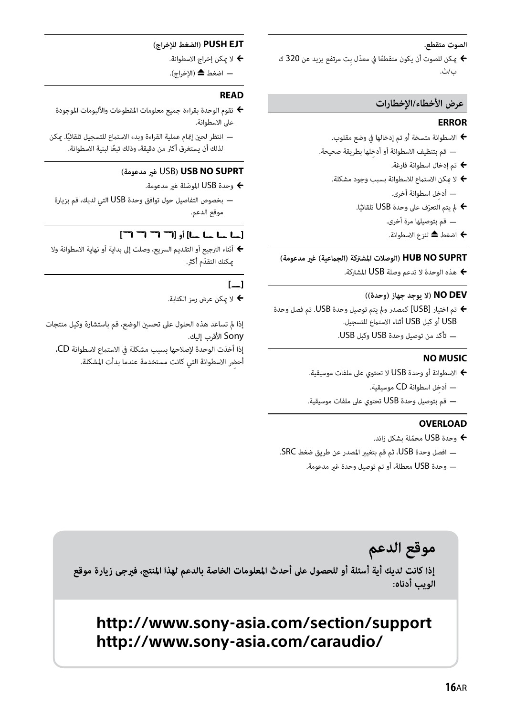#### **الصوت متقطع.**

♦ مكن للصوت أن يكون متقطعًا في معدًل بت مرتفع يزيد عن 320 ك ب/ث.

#### **عرض الأخطاء/الإخطارات**

#### **ERROR**

- الاسطوانة متسخة أو تم إدخالها في وضع مقلوب.
- ِ قم بتنظيف الاسطوانة أو أدخلها بطريقة صحيحة.
	- تم إدخال اسطوانة فارغة.
	- ♦ لا مِكن الاستماع للاسطوانة بسبب وجود مشكلة. ِ أدخل اسطوانة أخرى.
		- ّ مل يتم التعرف على وحدة USB ً تلقائيا. قم بتوصيلها مرة أخرى.
			-
			- اضغط لنزع الاسطوانة.

#### **SUPRT NO HUB) الوصلات المشتركة (الجامعية) غري مدعومة)**

هذه الوحدة لا تدعم وصلة USB المشتركة.

#### **DEV NO) لا يوجد جهاز (وحدة))**

- تم اختيار [USB [كمصدر ومل يتم توصيل وحدة USB. تم فصل وحدة USB أو كبل USB أثناء الاستامع للتسجيل.
	- تأكد من توصيل وحدة USB وكبل USB.

#### **NO MUSIC**

- الاسطوانة أو وحدة USB لا تحتوي على ملفات موسيقية.
	- ِ أدخل اسطوانة CD موسيقية.
- قم بتوصيل وحدة USB تحتوي على ملفات موسيقية.

#### **OVERLOAD**

- وحدة USB محمّلة بشكل زائد.  $\blacklozenge$
- افصل وحدة USB، ثم قم بتغيري المصدر عن طريق ضغط SRC.
	- وحدة USB معطلة، أو تم توصيل وحدة غري مدعومة.

#### **EJT PUSH) الضغط للإخراج)**

- لا ميكن إخراج الاسطوانة.
- اضغط ▲ (الإخراج).

#### **READ**

- تقوم الوحدة بقراءة جميع معلومات المقطوعات والألبومات الموجودة على الاسطوانة.
- ً انتظر لحني إمتام عملية القراءة وبدء الاستامع للتسجيل تلقائيا. ميكن ً لذلك أن يستغرق أكرث من دقيقة، وذلك تبعا لبنية الاسطوانة.

#### **(مدعومة غري** USB**) USB NO SUPRT**

- وحدة USB ّ الموصلة غري مدعومة.
- بخصوص التفاصيل حول توافق وحدة USB التي لديك، قم بزيارة موقع الدعم.

#### **[ ] أو [ ]**

 أثناء الترجيع أو التقديم السريع، وصلت إلى بداية أو نهاية الاسطوانة ولا ّ ميكنك التقدم أكرث.

#### **[ ]**

لا ميكن عرض رمز الكتابة.

إذا مل تساعد هذه الحلول على تحسني الوضع، قم باستشارة وكيل منتجات Sony الأقرب إليك.

إذا أخذت الوحدة لإصلاحها بسبب مشكلة في الاستامع لاسطوانة CD،

ِ أحضر الاسطوانة التي كانت مستخدمة عندما بدأت المشكلة.

## موقع الدعم إذا كانت لديك أية أسئلة أو للحصول على أحدث المعلومات الخاصة بالدعم لهذا المنتج، فيرجى زيارة موقع الويب أدناه:

## **http://www.sony-asia.com/section/support http://www.sony-asia.com/caraudio/**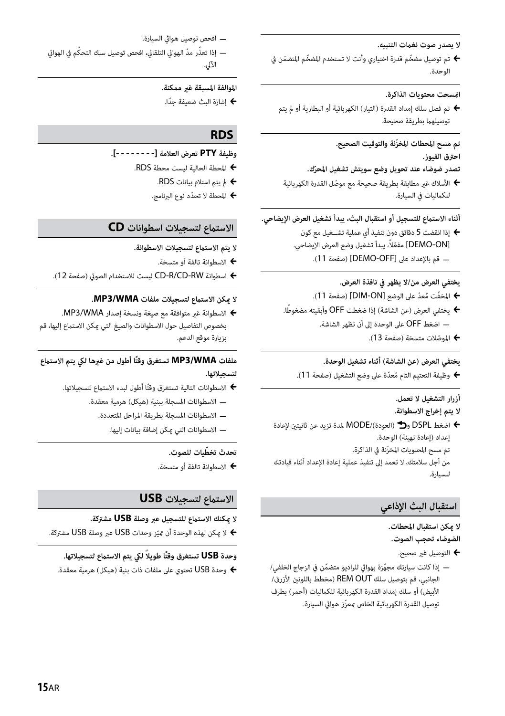#### **لا يصدر صوت نغامت التنبيه.**

♦ تم توصيل مضخّم قدرة اختياري وأنت لا تستخدم المضخّم المتضمّن في الوحدة.

#### **امنسحت محتويات الذاكرة.**

 تم فصل سلك إمداد القدرة (التيار) الكهربائية أو البطارية أو مل يتم توصيلهما بطريقة صحيحة.

#### **ّ تم مسح المحطات المخزنة والتوقيت الصحيح. احترق الفيوز.**

#### **ّ تصدر ضوضاء عند تحويل وضع سويتش تشغيل المحرك.**

 ّ الأسلاك غري مطابقة بطريقة صحيحة مع موصل القدرة الكهربائية للكماليات في السيارة.

#### **أثناء الاستامع للتسجيل أو استقبال البث، يبدأ تشغيل العرض الإيضاحي.**

 إذا انقضت 5 دقائق دون تنفيذ أي عملية تشــغيل مع كون [ON-DEMO [ّ مفع ًلا، يبدأ تشغيل وضع العرض الإيضاحي. قم بالإعداد على [OFF-DEMO) [صفحة 11).

#### **يختفي العرض من/لا يظهر في نافذة العرض.**

- ♦ المخفّت مُعدّ على الوضع [DIM-ON] (صفحة 11).
- يختفي العرض (عن الشاشة) إذا ضغطت OFF ً وأبقيته مضغوطا. اضغط OFF على الوحدة إلى أن تظهر الشاشة.
	- ّ الموصلات متسخة (صفحة 13).

#### **يختفي العرض (عن الشاشة) أثناء تشغيل الوحدة.**

♦ وظيفة التعتيم التام مُعدّة على وضع التشغيل (صفحة 11).

### **أزرار التشغيل لا تعمل.**

#### **لا يتم إخراج الاسطوانة.**

اضغط DSPL و $\bigoplus$  (العودة)/MODE لمدة تزيد عن ثانيتن لإعادة  $\blacklozenge$ إعداد (إعادة تهيئة) الوحدة. ّ تم مسح المحتويات المخزنة في الذاكرة. من أجل سلامتك، لا تعمد إلى تنفيذ عملية إعادة الإعداد أثناء قيادتك للسيارة.

#### **استقبال البث الإذاعي**

## **لا ميكن استقبال المحطات.**

**الضوضاء تحجب الصوت.**

- التوصيل غري صحيح.
- إذا كانت سيارتك مجهّزة بهوائي للراديو متضمّن في الزجاج الخلفي/ الجانبي، قم بتوصيل سلك REM OUT (مخطط باللونين الأزرق/ الأبيض) أو سلك إمداد القدرة الكهربائية للكامليات (أحمر) بطرف ّ توصيل القدرة الكهربائية الخاص مبعزز هوايئ السيارة.

 افحص توصيل هوايئ السيارة. — إذا تعذّر مدّ الهوائي التلقائى، افحص توصيل سلك التحكّم في الهوائي الآلي.

### **الموالفة المسبقة غري ممكنة.**

ً إشارة البث ضعيفة جدا.

#### **RDS**

#### **وظيفة PTY تعرض العلامة [- - - - - - - -].**

- المحطة الحالية ليست محطة RDS.
	- مل يتم استلام بيانات RDS.
	- ّ المحطة لا تحدد نوع البرنامج.

#### **الاستامع لتسجيلات اسطوانات CD**

#### **لا يتم الاستامع لتسجيلات الاسطوانة.**

- الاسطوانة تالفة أو متسخة.
- اسطوانة RW-CD/R-CD ليست للاستخدام الصويت (صفحة 12).

#### **لا ميكن الاستامع لتسجيلات ملفات WMA3/MP.**

 الاسطوانة غري متوافقة مع صيغة ونسخة إصدار WMA3/MP. بخصوص التفاصيل حول الاسطوانات والصيغ التي مكن الاستماع إليها، قم بزيارة موقع الدعم.

#### **ملفات WMA3/MP ً تستغرق وقتا أطول من غريها ليك يتم الاستامع لتسجيلاتها.**

- ♦ الاسطوانات التالية تستغرق وقتًا أطول لبدء الاستماع لتسجيلاتها.
	- الاسطوانات المسجلة ببنية (هيكل) هرمية معقدة.
		- الاسطوانات المسجلة بطريقة المراحل المتعددة.
			- الاسطوانات التي ميكن إضافة بيانات إليها.

#### **ّ تحدث تخطيات للصوت.**

الاسطوانة تالفة أو متسخة.

#### **الاستامع لتسجيلات USB**

#### **لا ميكنك الاستامع للتسجيل عبر وصلة USB مشتركة.**

ّ لا ميكن لهذه الوحدة أن متيز وحدات USB عبر وصلة USB مشتركة.

#### **وحدة USB ً تستغرق وقت ً ا طويلا ليك يتم الاستامع لتسجيلاتها.**

وحدة USB تحتوي على ملفات ذات بنية (هيكل) هرمية معقدة.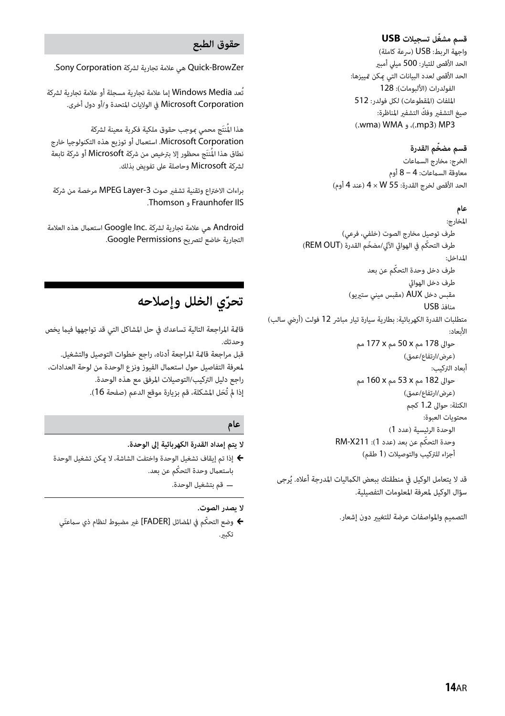#### **ّ قسم مشغل تسجيلات USB**

واجهة الربط: USB) سرعة كاملة) الحد الأقصى للتيار: 500 ميلي أمبري الحد الأقصى لعدد البيانات التي ميكن متييزها: الفولدرات (الألبومات): 128 الملفات (المقطوعات) لكل فولدر: 512 صيغ التشفير وفكّ التشفير المناظرة: (.wma) WMA (.mp3) MP3

#### **ّ قسم مضخم القدرة**

الخرج: مخارج السامعات معاوقة السماعات: 4 – 8 أوم الحد الأقصى لخرج القدرة: 55 W × 4) عند 4 أوم)

#### **عام**

المخارج: طرف توصيل مخارج الصوت (خلفي، فرعي) طرف التحكّم في الهوائي الآلي/مضخّم القدرة (REM OUT) المداخل: ّ طرف دخل وحدة التحكم عن بعد طرف دخل الهوايئ مقبس دخل AUX) مقبس ميني سترييو) منافذ USB متطلبات القدرة الكهربائية: بطارية سيارة تيار مباشر 12 فولت (أرضي سالب) الأبعاد: حوالى 178 مم x 50 مم x 177 مم (عرض/ارتفاع/عمق) أبعاد التركيب: حوالى 182 مم x 53 مم x 160 مم (عرض/ارتفاع/عمق) الكتلة: حوالى 1.2 كجم محتويات العبوة: الوحدة الرئيسية (عدد 1) ّ وحدة التحكم عن بعد (عدد 1): 211X-RM أجزاء للتركيب والتوصيلات (1 طقم)

قد لا يتعامل الوكيل في منطقتك ببعض الكماليات المدرجة أعلاه. يُرجى سؤال الوكيل لمعرفة المعلومات التفصيلية.

التصميم والمواصفات عرضة للتغيري دون إشعار.

#### **حقوق الطبع**

BrowZer-Quick هي علامة تجارية لشركة Corporation Sony.

ُتعد Media Windows إما علامة تجارية مسجلة أو علامة تجارية لشركة Corporation Microsoft في الولايات المتحدة و/أو دول أخرى.

#### هذا المُنتَج محمى موجب حقوق ملكية فكرية معينة لشركة Microsoft Corporation. استعمال أو توزيع هذه التكنولوجيا خارج نطاق هذا المُنتَج محظور إلا بترخيص من شركة Microsoft أو شركة تابعة لشركة Microsoft وحاصلة على تفويض بذلك.

براءات الاختراع وتقنية تشفير صوت MPEG Layer-3 مرخصة من شركة .Thomson و Fraunhofer IIS

Android هي علامة تجارية لشركة .Inc Google استعامل هذه العلامة التجارية خاضع لتصريح Permissions Google.

## **ّي الخلل وإصلاحه تحر**

قامًة المراجعة التالية تساعدك في حل المشاكل التي قد تواجهها فيما يخص وحدتك. قبل مراجعة قامئة المراجعة أدناه، راجع خطوات التوصيل والتشغيل. لمعرفة التفاصيل حول استعامل الفيوز ونزع الوحدة من لوحة العدادات، راجع دليل التركيب/التوصيلات المرفق مع هذه الوحدة. إذا لم تُحَل المشكلة، قم بزيارة موقع الدعم (صفحة 16).

#### **عام**

#### **لا يتم إمداد القدرة الكهربائية إلى الوحدة.**

 إذا تم إيقاف تشغيل الوحدة واختفت الشاشة، لا ميكن تشغيل الوحدة باستعمال وحدة التحكّم عن بعد. قم بتشغيل الوحدة.

#### **لا يصدر الصوت.**

 ّ وضع التحكم في المضائل [FADER [َ غري مضبوط لنظام ذي سامعتي تكبري.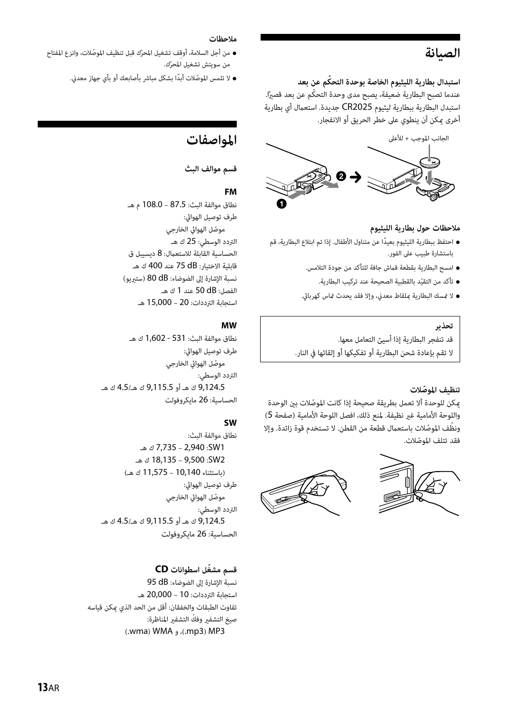## **الصيانة**

**ّ استبدال بطارية الليثيوم الخاصة بوحدة التحكم عن بعد**

عندما تصبح البطارية ضعيفة، يصبح مدى وحدة التحكّم عن بعد قصيرًا. استبدل البطارية ببطارية ليثيوم 2025CR جديدة. استعامل أي بطارية أخرى ميكن أن ينطوي على خطر الحريق أو الانفجار.



#### **ملاحظات حول بطارية الليثيوم**

- ً احتفظ ببطارية الليثيوم بعيدا عن متناول الأطفال. إذا تم ابتلاع البطارية، قم باستشارة طبيب على الفور.
	- امسح البطارية بقطعة قامش جافة للتأكد من جودة التلامس.
		- ّ تأكد من التقيد بالقطبية الصحيحة عند تركيب البطارية.
	- لا متسك البطارية مبلقاط معدين، وإلا فقد يحدث متاس كهربايئ.

#### **تحذير**

قد تنفجر البطارية إذا أسيئ التعامل معها. لا تقم بإعادة شحن البطارية أو تفكيكها أو إلقائها في النار.

#### **ّ تنظيف الموصلات**

ّ ميكن للوحدة ألا تعمل بطريقة صحيحة إذا كانت الموصلات بني الوحدة واللوحة الأمامية غري نظيفة. لمنع ذلك، افصل اللوحة الأمامية (صفحة 5) ونظّف الموصّلات باستعمال قطعة من القطن. لا تستخدم قوة زائدة. وإلا ّ فقد تتلف الموصلات.





#### **ملاحظات**

- من أجل السلامة، أوقف تشغيل المحرّك قبل تنظيف الموصّلات، وانزع المفتاح ّ من سويتش تشغيل المحرك.
	- لا تلمس الموصّلات أبدًا بشكل مباشر بأصابعك أو بأي جهاز معدني.

## **المواصفات**

#### **قسم موالف البث**

#### **FM**

نطاق موالفة البث: 87.5 – 108.0 م هـ طرف توصيل الهوايئ: موصّل الهوائي الخارجي التردد الوسطي: 25 ك هـ الحساسية القابلة للاستعمال: 8 ديسيبل ق قابلية الاختيار: dB 75 عند 400 ك هـ نسبة الإشارة إلى الضوضاء: dB 80) سترييو) الفصل: dB 50 عند 1 ك هـ استجابة الترددات: 20 – 15,000 هـ

#### **MW**

نطاق موالفة البث: 531 - 1,602 ك هـ طرف توصيل الهوايئ: ّ موصل الهوايئ الخارجي التردد الوسطي: 9,124.5 ك هـ أو 9,115.5 ك هـ4.5/ ك هـ الحساسية: 26 مايكروفولت

#### **SW**

نطاق موالفة البث: 1SW: 2,940 – 7,735 ك هـ 2SW: 9,500 – 18,135 ك هـ (باستثناء 10,140 – 11,575 ك هـ) طرف توصيل الهوايئ: موصّل الهوائي الخارجي التردد الوسطي: 9,124.5 ك هـ أو 9,115.5 ك هـ4.5/ ك هـ الحساسية: 26 مايكروفولت

#### **ّ قسم مشغل اسطوانات CD**

نسبة الإشارة إلى الضوضاء: dB 95 استجابة الترددات: 10 – 20,000 هـ تفاوت الطبقات والخفقان: أقل من الحد الذي ميكن قياسه صيغ التشفير وفكّ التشفير المناظرة: (.wma) WMA (.mp3) MP3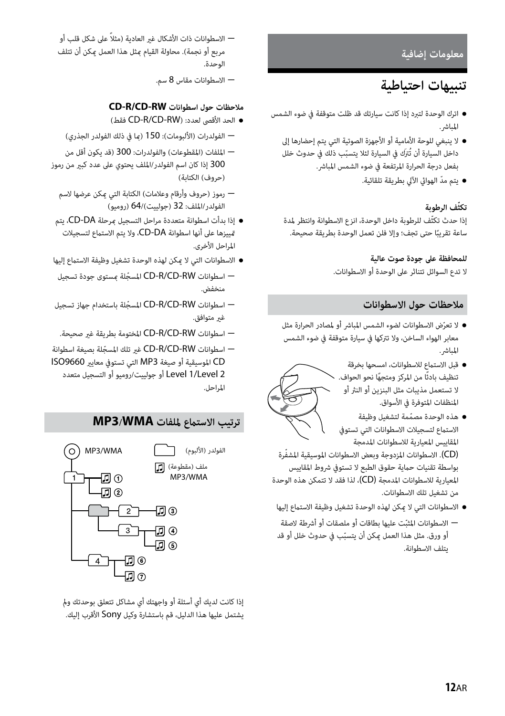#### **معلومات إضافية**

## **تنبيهات احتياطية**

- اترك الوحدة لتبرد إذا كانت سيارتك قد ظلت متوقفة في ضوء الشمس المباشر.
	- لا ينبغي للوحة الأمامية أو الأجهزة الصوتية التي يتم إحضارها إلى داخل السيارة أن تُترَك في السيارة لئلا يتسبّب ذلك في حدوث خلل بفعل درجة الحرارة المرتفعة في ضوء الشمس المباشر.
		- ّ يتم مد الهوايئ الآلي بطريقة تلقائية.

#### **ّ تكثف الرطوبة**

ّ إذا حدث تكثف للرطوبة داخل الوحدة، انزع الاسطوانة وانتظر لمدة ساعة تقريبًا حتى تجف؛ وإلا فلن تعمل الوحدة بطريقة صحيحة.

#### **للمحافظة على جودة صوت عالية**

لا تدع السوائل تتناثر على الوحدة أو الاسطوانات.

#### **ملاحظات حول الاسطوانات**

- ّ لا تعرض الاسطوانات لضوء الشمس المباشر أو لمصادر الحرارة مثل معابر الهواء الساخن، ولا تتركها في سيارة متوقفة في ضوء الشمس المباشر.
- قبل الاستامع للاسطوانات، امسحها بخرقة تنظيف بادئًا من المركز ومتحفًا نحو الحواف. < لا تستعمل مذيبات مثل البنزين أو النرث أو المنظفات المتوفرة في الأسواق.
- ّ هذه الوحدة مصممة لتشغيل وظيفة الاستماع لتسجيلات الاسطوانات التي تستوفي المقاييس المعيارية للاسطوانات المدمجة (CD (ّ . الاسطوانات المزدوجة وبعض الاسطوانات الموسيقية المشفرة بواسطة تقنيات حامية حقوق الطبع لا تستوفي شروط المقاييس المعيارية للاسطوانات المدمجة (CD(، لذا فقد لا تتمكن هذه الوحدة من تشغيل تلك الاسطوانات.
- الاسطوانات التي لا مكن لهذه الوحدة تشغيل وظيفة الاستماع إليها
- ّ الاسطوانات المثبت عليها بطاقات أو ملصقات أو أشرطة لاصقة ّ أو ورق. مثل هذا العمل ميكن أن يتسبب في حدوث خلل أو قد يتلف الاسطوانة.

 ً الاسطوانات ذات الأشكال غري العادية (مثلا على شكل قلب أو مربع أو نجمة). محاولة القيام مبثل هذا العمل ميكن أن تتلف الوحدة.

الاسطوانات مقاس 8 سم.

#### **CD-R/CD-RW اسطوانات حول ملاحظات**

- (فقط CD-R/CD-RW) :لعدد الأقصى الحد
- الفولدرات (الألبومات): 150 (مبا في ذلك الفولدر الجذري)
- الملفات (المقطوعات) والفولدرات: 300 (قد يكون أقل من 300 إذا كان اسم الفولدر/الملف يحتوي على عدد كبري من رموز (حروف) الكتابة)
	- رموز (حروف وأرقام وعلامات) الكتابة التي ميكن عرضها لاسم الفولدر/الملف: 32 (جولييت)64/ (روميو)
- إذا بدأت اسطوانة متعددة مراحل التسجيل مبرحلة DA-CD، يتم متييزها على أنها اسطوانة DA-CD، ولا يتم الاستامع لتسجيلات المراحل الأخرى.
- الاسطوانات التي لا مكن لهذه الوحدة تشغيل وظيفة الاستماع إليها
- اسطوانات RW-CD/R-CD ّ المسجلة مبستوى جودة تسجيل منخفض.
- اسطوانات RW-CD/R-CD ّ المسجلة باستخدام جهاز تسجيل غير متوافق.
- اسطوانات RW-CD/R-CD المختومة بطريقة غري صحيحة.
- اسطوانات RW-CD/R-CD ّ غري تلك المسجلة بصيغة اسطوانة CD الموسيقية أو صيغة 3MP التي تستوفي معايري 9660ISO 2 Level1/ Level أو جولييت/روميو أو التسجيل متعدد المراحل.

### **ترتيب الاستامع لملفات WMA3/MP**



إذا كانت لديك أي أسئلة أو واجهتك أي مشاكل تتعلق بوحدتك ومل يشتمل عليها هذا الدليل، قم باستشارة وكيل Sony الأقرب إليك.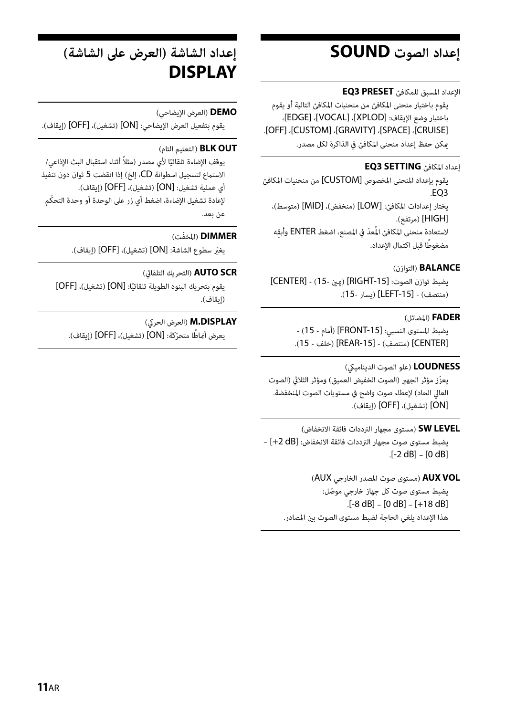## **إعداد الصوت SOUND**

الإعداد المسبق للمكافئ **PRESET 3EQ**

يقوم باختيار منحنى المكافئ من منحنيات المكافئ التالية أو يقوم باختيار وضع الإيقاف: [XPLOD[،] VOCAL[،] EDGE[، .[OFF] ،[CUSTOM] ،[GRAVITY] ،[SPACE] ،[CRUISE] ميكن حفظ إعداد منحنى المكافئ في الذاكرة لكل مصدر.

#### إعداد المكافئ **SETTING 3EQ**

يقوم بإعداد المنحنى المخصوص [CUSTOM [من منحنيات المكافئ .EQ3

يختار إعدادات المكافئ: [LOW) [منخفض)، [MID) [متوسط)، [HIGH) [مرتفع). لاستعادة منحنى المكافئ المُعدّ في المصنع، اضغط ENTER وأبقه مضغوطًا قبل اكتمال الإعداد.

#### **BALANCE**) التوازن)

يضبط توازن الصوت: [-15RIGHT) [ميني 15-) - [CENTER[ (منتصف) - [LEFT-15] (يسار -15).

#### **FADER**) المضائل)

يضبط المستوى النسبي: [-15FRONT) [أمام - 15) - [CENTER) [منتصف) - [-15REAR) [خلف - 15).

#### **LOUDNESS**) علو الصوت الدينامييك)

يعزّز مؤثر الجهير (الصوت الخفيض العميق) ومؤثر الثلاثي (الصوت العالي الحاد) لإعطاء صوت واضح في مستويات الصوت المنخفضة. [ON) [تشغيل)، [OFF) [إيقاف).

**LEVEL SW**) مستوى مجهار الترددات فائقة الانخفاض) يضبط مستوى صوت مجهار الترددات فائقة الانخفاض: [dB +2 – [ .[-2 dB] – [0 dB]

**VOL AUX**) مستوى صوت المصدر الخارجي AUX( ّ يضبط مستوى صوت كل جهاز خارجي موصل: .[-8 dB] – [0 dB] – [+18 dB] هذا الإعداد يلغي الحاجة لضبط مستوى الصوت بني المصادر.

## **إعداد الشاشة (العرض على الشاشة) DISPLAY**

#### **DEMO**) العرض الإيضاحي)

يقوم بتفعيل العرض الإيضاحي: [ON) [تشغيل)، [OFF) [إيقاف).

#### **OUT BLK**) التعتيم التام)

يوقف الإضاءة تلقائيًا لأي مصدر (مثلاً أثناء استقبال البث الإذاعي/ الاستامع لتسجيل اسطوانة CD، إلخ) إذا انقضت 5 ثوان دون تنفيذ أي عملية تشغيل: [ON) [تشغيل)، [OFF) [إيقاف). ّ لإعادة تشغيل الإضاءة، اضغط أي زر على الوحدة أو وحدة التحكم عن بعد.

#### **DIMMER** ّ) المخفت)

ّ يغري سطوع الشاشة: [ON) [تشغيل)، [OFF) [إيقاف).

#### **SCR AUTO**) التحريك التلقايئ)

يقوم بتحريك البنود الطويلة تلقائيًا: [ON] (تشغيل)، [OFF] (إيقاف).

#### **M.DISPLAY** (العرض الحركي)

يعرض أمْاطًا متحرّكة: [ON] (تشغيل)، [OFF] (إيقاف).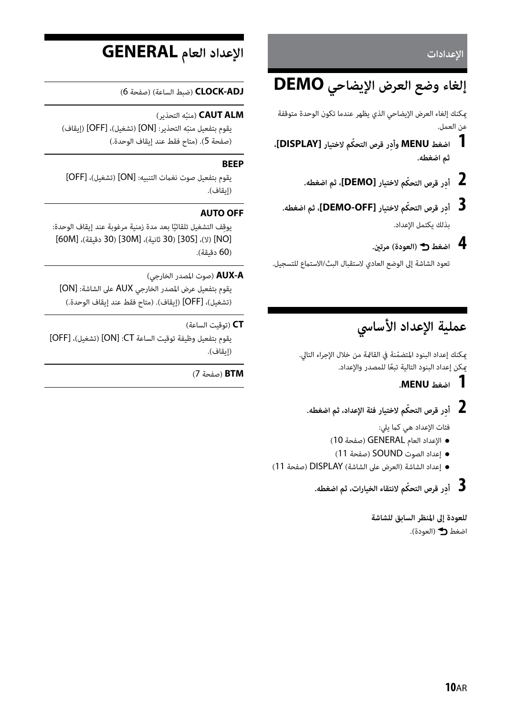**الإعدادات**

## **إلغاء وضع العرض الإيضاحي DEMO**

ميكنك إلغاء العرض الإيضاحي الذي يظهر عندما تكون الوحدة متوقفة عن العمل.

- **1 اضغط MENU ِ وأد ّ ر قرص التحكم لاختيار [DISPLAY[، ثم اضغطه.**
	- **2 ِأد ّ ر قرص التحكم لاختيار [DEMO[، ثم اضغطه.**
	- **3 ِأد ّ ر قرص التحكم لاختيار [OFF-DEMO[، ثم اضغطه.** بذلك يكتمل الإعداد.
		- **4 اضغط (العودة) مرتني.**

تعود الشاشة إلى الوضع العادي لاستقبال البث/الاستماع للتسجيل.

## **عملية الإعداد الأساسي**

ّ ميكنك إعداد البنود المتضمنة في القامئة من خلال الإجراء التالي. ً ميكن إعداد البنود التالية تبعا للمصدر والإعداد.

 **1 اضغط MENU.**

 **2 ِأد ّ ر قرص التحكم لاختيار فئة الإعداد، ثم اضغطه.**

فئات الإعداد هي كما يلي:

- الإعداد العام GENERAL) صفحة 10)
- إعداد الصوت SOUND) صفحة 11)
- إعداد الشاشة (العرض على الشاشة) DISPLAY) صفحة 11)
	- **3 ِأد ّ ر قرص التحكم لانتقاء الخيارات، ثم اضغطه.**

**للعودة إلى المنظر السابق للشاشة** اضغط (العودة).

## **الإعداد العام GENERAL**

**ADJ-CLOCK**) ضبط الساعة) (صفحة 6)

### منبّه التحذير) **CAUT ALM**

يقوم بتفعيل منبّه التحذير: [ON] (تشغيل)، [OFF] (إيقاف) (صفحة 5). (متاح فقط عند إيقاف الوحدة.)

#### **BEEP**

يقوم بتفعيل صوت نغامت التنبيه: [ON) [تشغيل)، [OFF[ (إيقاف).

#### **AUTO OFF**

يوقِف التشغيل تلقائيًا بعد مدة زمنية مرغوبة عند إيقاف الوحدة: [60M] ،(دقيقة 30] (30M] ،(ثانية 30] (30S] ،(لا] (NO] (60 دقيقة).

#### **A-AUX**) صوت المصدر الخارجي)

يقوم بتفعيل عرض المصدر الخارجي AUX على الشاشة: [ON[ (تشغيل)، [OFF) [إيقاف). (متاح فقط عند إيقاف الوحدة.)

#### **CT**) توقيت الساعة)

يقوم بتفعيل وظيفة توقيت الساعة CT:] ON) [تشغيل)، [OFF[ (إيقاف).

#### **BTM**) صفحة 7)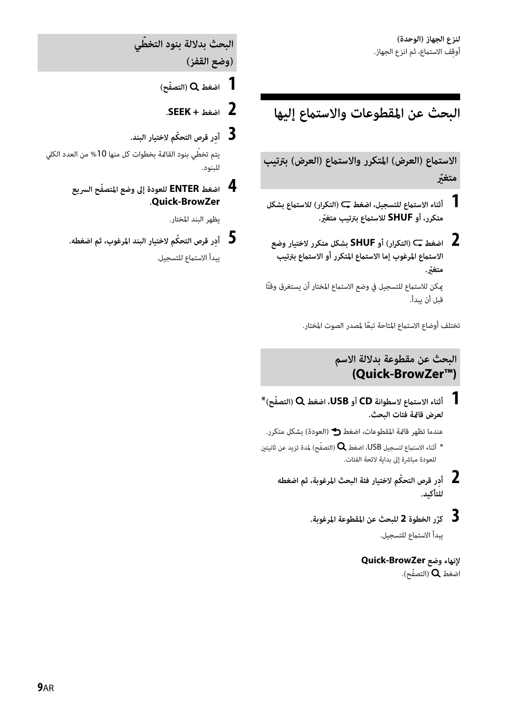## **البحث عن المقطوعات والاستامع إليها**

**الاستامع (العرض) المتكرر والاستامع (العرض) بترتيب ّ متغري**

- **متكرر، أو SHUF ّ للاستامع بترتيب متغري.<sup>1</sup> أثناء الاستامع للتسجيل، اضغط (التكرار) للاستامع بشكل**
- **2 اضغط (التكرار) أو SHUF بشكل متكرر لاختيار وضع**  الاستماع المرغوب إما الاستماع المتكرر أو الاستماع بترتيب **ّ متغري.** مكن للاستماع للتسحيل في وضع الاستماع المختار أن يستغرق وقتًا قبل أن يبدأ.

تختلف أوضاع الاستماع المتاحة تبعًا لمصدر الصوت المختار.

### **البحث عن مقطوعة بدلالة الاسم (Quick-BrowZer™)**

 **1 أثناء الاستامع لاسطوانة CD أو USB، اضغط ّ (التصفح)**\* **لعرض قامئة فئات البحث.** 

عندما تظهر قامئة المقطوعات، اضغط (العودة) بشكل متكرر.

أثناء الاستماع لتسجيل USB، اضغط  $\mathsf Q$  (التصفّح) لمدة تزيد عن ثانيتين  $^*$ للعودة مباشرة إلى بداية لائحة الفئات.

- **2 ِأد ّ ر قرص التحكم لاختيار فئة البحث المرغوبة، ثم اضغطه للتأكيد.**
	- **ّ 3 ر الخطوة 2 للبحث عن المقطوعة المرغوبة. كر** يبدأ الاستماع للتسجيل.

**لإنهاء وضع BrowZer-Quick** اضغط  $\mathsf Q$  (التصفّح).

**ّ البحث بدلالة بنود التخطي** 

**(وضع القفز)**

- **1 اضغط ّ (التصفح)**
	- **2 اضغط + SEEK.**
- **3 ِأد ّ ر قرص التحكم لاختيار البند.**

ّ يتم تخطي بنود القامئة بخطوات كل منها %10 من العدد الكلي للبنود.

**BrowZer-Quick.<sup>4</sup> اضغط ENTER ّ للعودة إلى وضع المتصفح السريع**

يظهر البند المختار.

 **5 ِأد ّ ر قرص التحكم لاختيار البند المرغوب، ثم اضغطه.** يبدأ الاستماع للتسجيل.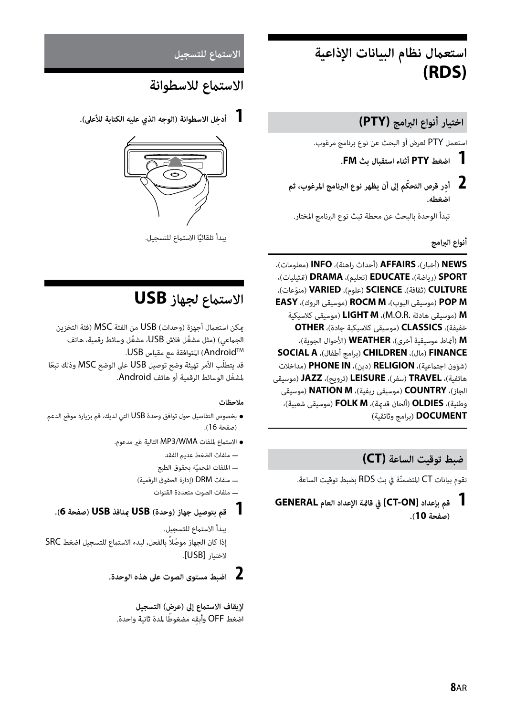## **استعامل نظام البيانات الإذاعية (RDS)**

## **اختيار أنواع البرامج (PTY(**

استعمل PTY لعرض أو البحث عن نوع برنامج مرغوب.

- **1 اضغط PTY أثناء استقبال بث FM.**
- **2 ِأد ّ ر قرص التحكم إلى أن يظهر نوع البرنامج المرغوب، ثم اضغطه.**

تبدأ الوحدة بالبحث عن محطة تبث نوع البرنامج المختار.

**أنواع البرامج**

**NEWS**) أخبار)، **AFFAIRS**) أحداث راهنة)، **INFO**) معلومات)، **SPORT**) رياضة)، **EDUCATE**) تعليم)، **DRAMA**) متثيليات)، **CULTURE**) ثقافة)، **SCIENCE**) علوم)، **VARIED** ّ) منوعات)،  **EASY** ،(الروك موسيقى (**ROCM M** ،(البوب موسيقى (**POP M** كلاسيكية موسيقى (**LIGHT M** ،(M.O.R. هادئة موسيقى (**M** خفيفة)، **CLASSICS**) موسيقى كلاسيكية جادة)، **OTHER M**) أمناط موسيقية أخرى)، **WEATHER**) الأحوال الجوية)، **SOCIAL A** ،(أطفال برامج (**CHILDREN** ،(مال (**FINANCE** (شؤون اجتامعية)، **RELIGION**) دين)، **IN PHONE**) مداخلات هاتفية)، **TRAVEL**) سفر)، **LEISURE**) ترويح)، **JAZZ**) موسيقى الجاز)، **COUNTRY**) موسيقى ريفية)، **M NATION**) موسيقى وطنية)، **OLDIES**) ألحان قدمية)، **M FOLK**) موسيقى شعبية)، **DOCUMENT**) برامج وثائقية)

### **ضبط توقيت الساعة (CT(**

تقوم بيانات CT ّ المتضمنة في بث RDS بضبط توقيت الساعة.

 **1 قم بإعداد [ON-CT [في قامئة الإعداد العام GENERAL (صفحة 10).**

#### الاستماع للتسجيل

## الاستماع للاسطوانة

 **1 ِ أدخل الاسطوانة (الوجه الذي عليه الكتابة للأعلى).**



يبدأ تلقائيًا الاستماع للتسجيل.

## **الاستامع لجهاز USB**

مكن استعمال أجهزة (وحدات) USB من الفئة MSC (فئة التخزين الجماعي) (مثل مشغّل فلاش USB، مشغّل وسائط رقمية، هاتف AndroidTM (المتوافقة مع مقياس USB. قد يتطلّب الأمر تهيئة وضع توصيل USB على الوضع MSC وذلك تبعًا ّ لمشغل الوسائط الرقمية أو هاتف Android.

#### **ملاحظات**

- بخصوص التفاصيل حول توافق وحدة USB التي لديك، قم بزيارة موقع الدعم (صفحة 16).
	- الاستامع لملفات WMA3/MP التالية غري مدعوم.
		- ملفات الضغط عديم الفقد
		- ّ الملفات المحمية بحقوق الطبع
		- ملفات DRM) إدارة الحقوق الرقمية)
			- ملفات الصوت متعددة القنوات

### **1 قم بتوصيل جهاز (وحدة) USB مبنافذ USB) صفحة 6).**

يبدأ الاستماع للتسجيل. إذا كان الجهاز موصّلاً بالفعل، لبدء الاستماع للتسجيل اضغط SRC لاختيار [USB[.



**لإيقاف الاستامع إلى (عرض) التسجيل** اضغط OFF وأبقه مضغوطًا لمدة ثانية واحدة.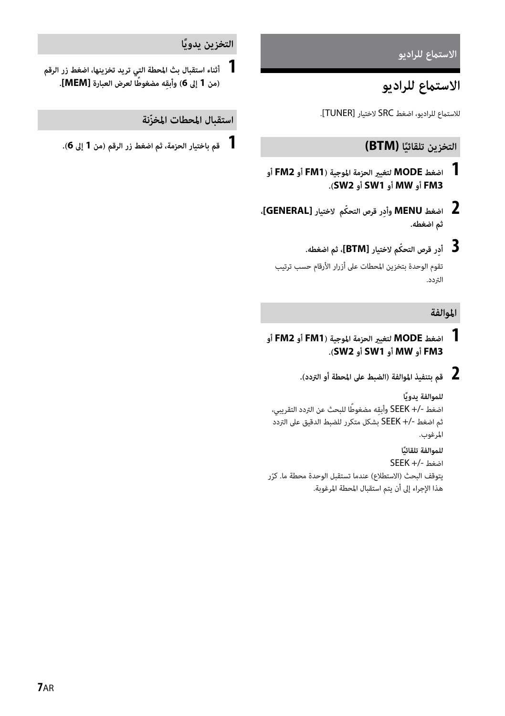الاستماع للراديو

## الاستماع للراديو

للاستماع للراديو، اضغط SRC لاختيار [TUNER].

## **ًا (BTM( التخزين تلقائي**

- **1 اضغط MODE لتغيري الحزمة الموجية (1FM أو 2FM أو .(SW2 أو SW1 أو MW أو FM3**
- **2 اضغط MENU ِ وأد ّ ر قرص التحكم لاختيار [GENERAL[، ثم اضغطه.**
	- **3 ِأد ّ ر قرص التحكم لاختيار [BTM[، ثم اضغطه.** تقوم الوحدة بتخزين المحطات على أزرار الأرقام حسب ترتيب التردد.

#### **الموالفة**

- **1 اضغط MODE لتغيري الحزمة الموجية (1FM أو 2FM أو .(SW2 أو SW1 أو MW أو FM3**
	- **2 قم بتنفيذ الموالفة (الضبط على المحطة أو التردد).**

```
ً للموالفة يدويا
اضغط -/+ SEEK وأبقه مضغوطًا للبحث عن التردد التقريبي،
ثم اضغط +/- SEEK بشكل متكرر للضبط الدقيق على التردد 
                                               المرغوب.
                                         ً للموالفة تلقائيا
                                      اضغط +/- SEEK
```
يتوقف البحث (الاستطلاع) عندما تستقبل الوحدة محطة ما. كرّر هذا الإجراء إلى أن يتم استقبال المحطة المرغوبة.

### **ً التخزين يدويا**

**(من 1 إلى <sup>6</sup> ِ ) وأبق ً ه مضغوطا لعرض العبارة [MEM[.<sup>1</sup> أثناء استقبال بث المحطة التي تريد تخزينها، اضغط زر الرقم** 

### **ّ استقبال المحطات المخزنة**

 **1 قم باختيار الحزمة، ثم اضغط زر الرقم (من 1 إلى 6).**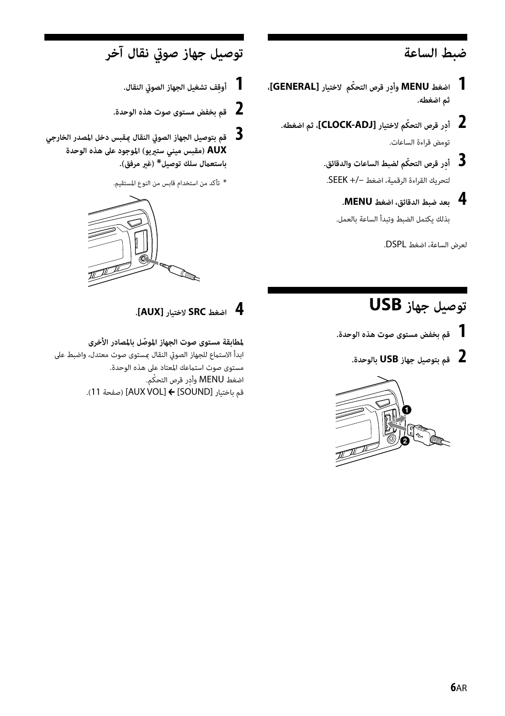## **ضبط الساعة**

- **1 اضغط MENU ِ وأد ّ ر قرص التحكم لاختيار [GENERAL[، ثم اضغطه.**
	- **2 ِأد ّ ر قرص التحكم لاختيار [ADJ-CLOCK[، ثم اضغطه.** تومض قراءة الساعات.
		- لتحريك القراءة الرقمية، اضغط –+/ SEEK.**<sup>3</sup> ِأد ّ ر قرص التحكم لضبط الساعات والدقائق.**
			- **4 بعد ضبط الدقائق، اضغط MENU.** بذلك يكتمل الضبط وتبدأ الساعة بالعمل.

لعرض الساعة، اضغط DSPL.

## **توصيل جهاز صويت نقال آخر**

- **1 ِ أوقف تشغيل الجهاز الصويت النقال.**
- **2 قم بخفض مستوى صوت هذه الوحدة.**
- **3 قم بتوصيل الجهاز الصويت النقال مبقبس دخل المصدر الخارجي AUX) مقبس ميني سترييو) الموجود على هذه الوحدة باستعامل سلك توصيل\* (غري مرفق).**
	- \* تأكد من استخدام قابس من النوع المستقيم.



## **توصيل جهاز USB**

- **1 قم بخفض مستوى صوت هذه الوحدة.**
	- **2 قم بتوصيل جهاز USB بالوحدة.**



## **4 اضغط SRC لاختيار [AUX[.**

**ّ لمطابقة مستوى صوت الجهاز الموصل بالمصادر الأخرى** ابدأ الاستماع للجهاز الصوتي النقال مستوى صوت معتدل، واضبط على مستوى صوت استامعك المعتاد على هذه الوحدة. اضغط MENU وأدر قرص التحكّم. .(11 صفحة] (AUX VOL] [SOUND] باختيار قم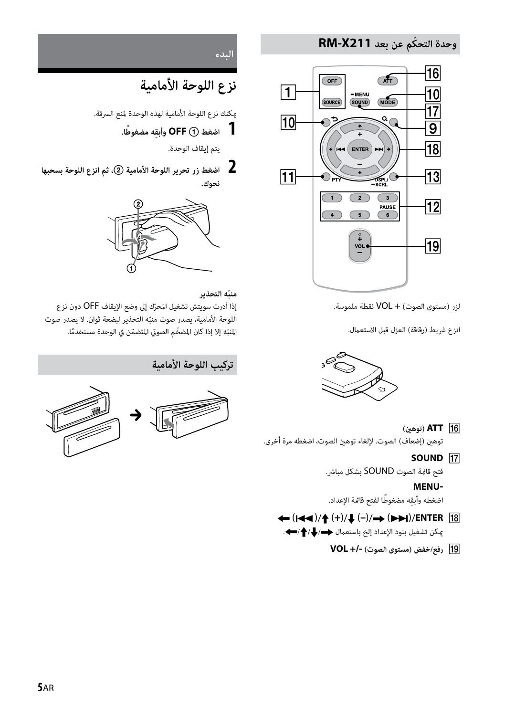### **ّ وحدة التحكم عن بعد 211X-RM**



لزر (مستوى الصوت) + VOL نقطة ملموسة.

انزع شريط (رقاقة) العزل قبل الاستعمال.



- **(توهني (ATT** توهني (إضعاف) الصوت. لإلغاء توهني الصوت، اضغطه مرة أخرى.
	- **SOUND 17**

فتح قامئة الصوت SOUND بشكل مباشر.

#### **MENU-**

اضغطه وأبقِه مضغوطًا لفتح قامًة الإعداد.

- **← (I<< )/** $\uparrow$  **(+)/** (-)/→ (>>I)/ENTER [18] يكن تشغيل بنود الإعداد إلخ باستعمال ♦/♦/♦/.
	- **رفع/خفض (مستوى الصوت) +/- VOL**

**البدء**

## **نزع اللوحة الأمامية**

ميكنك نزع اللوحة الأمامية لهذه الوحدة لمنع السرقة.

 **1 اضغط OFF ِ وأبق ً ه مضغوطا.**

يتم إيقاف الوحدة.

 **2 اضغط زر تحرير اللوحة الأمامية ، ثم انزع اللوحة بسحبها نحوك.**



#### **ّمنبه التحذير**

إذا أدرت سويتش تشغيل المحرّك إلى وضع الإيقاف OFF دون نزع اللوحة الأمامية، يصدر صوت منبّه التحذير لبضعة ثوان. لا يصدر صوت المنبّه إلا إذا كان المضخّم الصوتي المتضمّن في الوحدة مستخدمًا.





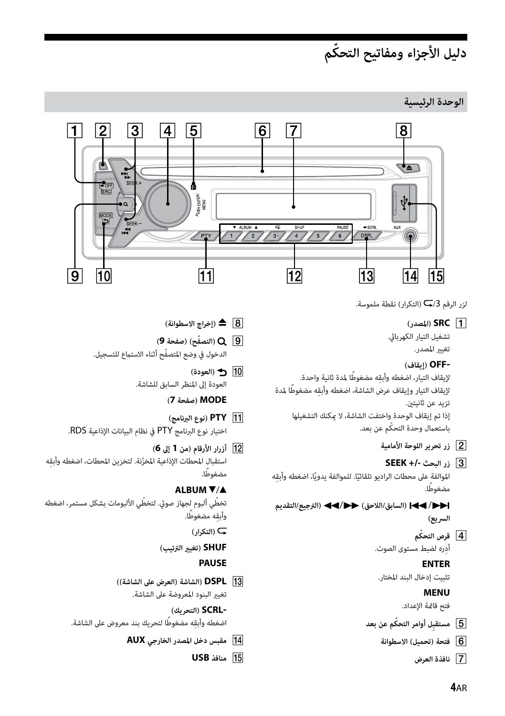## **ّ دليل الأجزاء ومفاتيح التحكم**

**الوحدة الرئيسية**



لزر الرقم /3 (التكرار) نقطة ملموسة.

```
(المصدر (SRC
```

```
تشغيل التيار الكهربايئ.
         تغيير المصدر.
```
#### **-OFF) إيقاف)**

```
لإيقاف التيار، اضغطه وأبقه مضغوطًا لمدة ثانية واحدة.
لإيقاف التيار وإيقاف عرض الشاشة، اضغطه وأبقه مضغوطًا لمدة
                                            تزيد عن ثانيتني.
      إذا تم إيقاف الوحدة واختفت الشاشة، لا ميكنك التشغيلها 
                            باستعمال وحدة التحكّم عن بعد.
```
- **زر تحرير اللوحة الأمامية**
	- **زر البحث +/- SEEK**
- الموالفة على محطات الراديو تلقائيًا. للموالفة يدويًا، اضغطه وأبقِه ً مضغوطا.

/**) السابق/اللاحق)** /**) الترجيع/التقديم السريع)**

> **ّ قرص التحكم** ِأدره لضبط مستوى الصوت.

#### **ENTER**

تثبيت إدخال البند المختار.

#### **MENU**

فتح قامئة الإعداد.

- **ِ ّ ل أوامر التحكم عن بعد مستقب**
	- **فتحة (تحميل) الاسطوانة**
		- **نافذة العرض**
- **) إخراج الاسطوانة)**
- **ّ) التصفح) (صفحة 9)** الدخول في وضع المتصفّح أثناء الاستماع للتسجيل.
	- **) العودة)**
	- العودة إلى المنظر السابق للشاشة.
		- **MODE) صفحة 7)**
- **PTY) نوع البرنامج)** اختيار نوع البرنامج PTY في نظام البيانات الإذاعية RDS.
- **أزرار الأرقام (من 1 إلى 6)** استقبال المحطات الإذاعية المخزّنة. لتخزين المحطات، اضغطه وأبقه ً مضغوطا.

#### **ALBUM**  $\Psi/\triangle$

تخطّى ألبوم لجهاز صوق. لتخطّى الألبومات بشكل مستمر، اضغطه وأبقه مضغوطًا.

 **(التكرار)**

**SHUF) تغيري الترتيب)**

### **PAUSE**

 **DSPL) الشاشة (العرض على الشاشة))** تغير البنود المعروضة على الشاشة.

### **-SCRL) التحريك)**

اضغطه وأبقه مضغوطًا لتحريك بند معروض على الشاشة.

- **مقبس دخل المصدر الخارجي AUX**
	- **USB منافذ**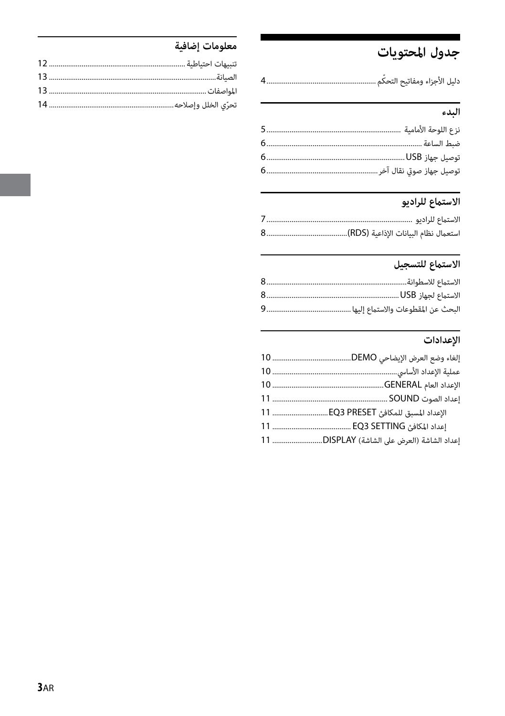## جدول المحتويات

### البدء

## 

## الاستماع للتسجيل

### الإعدادات

| الإعداد المسبق للمكافئ EQ3 PRESET  11      |
|--------------------------------------------|
|                                            |
| إعداد الشاشة (العرض على الشاشة) DISPLAY 11 |
|                                            |

## معلومات إضافية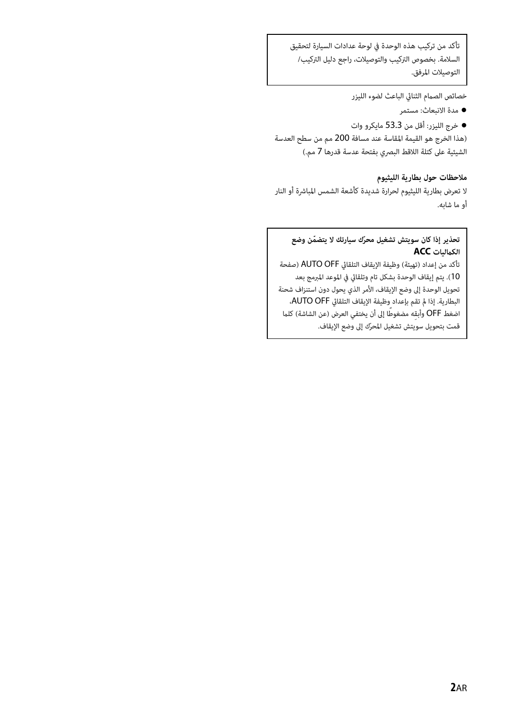تأكد من تركيب هذه الوحدة في لوحة عدادات السيارة لتحقيق السلامة. بخصوص التركيب والتوصيلات، راجع دليل التركيب/ التوصيلات المرفق.

خصائص الصمام الثنائي الباعث لضوء الليزر

مدة الانبعاث: مستمر

 خرج الليزر: أقل من 53.3 مايكرو وات (هذا الخرج هو القيمة المقاسة عند مسافة 200 مم من سطح العدسة الشيئية على كتلة اللاقط البصري بفتحة عدسة قدرها 7 مم.)

#### **ملاحظات حول بطارية الليثيوم**

لا تعرض بطارية الليثيوم لحرارة شديدة كأشعة الشمس المباشرة أو النار أو ما شابه.

#### **ّ تحذير إذا كان سويتش تشغيل محر ّ ك سيارتك لا يتضمن وضع الكامليات ACC**

تأكد من إعداد (تهيئة) وظيفة الإيقاف التلقايئ OFF AUTO) صفحة 10). يتم إيقاف الوحدة بشكل تام وتلقايئ في الموعد المبرمج بعد تحويل الوحدة إلى وضع الإيقاف، الأمر الذي يحول دون استنزاف شحنة البطارية. إذا مل تقم بإعداد وظيفة الإيقاف التلقايئ OFF AUTO، اضغط OFF وأبقه مضغوطًا إلى أن يختفي العرض (عن الشاشة) كلما ّ قمت بتحويل سويتش تشغيل المحرك إلى وضع الإيقاف.